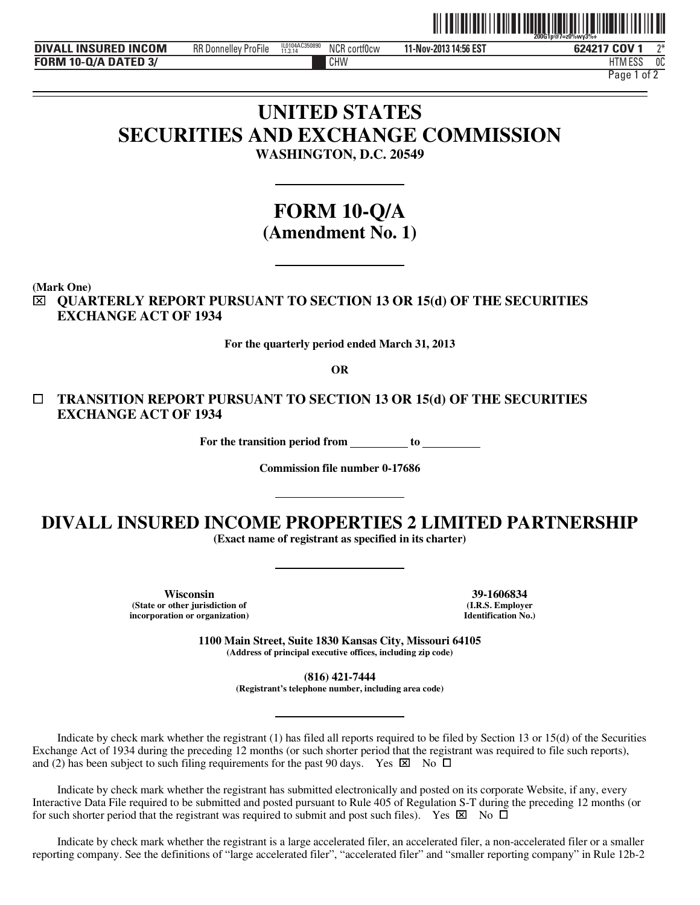| <u> 111   111   111   111   111   111   111   111   111   111   111   111   111   111   111   11</u><br>200G1p@7=z0%wy3%+ |  |
|---------------------------------------------------------------------------------------------------------------------------|--|
|                                                                                                                           |  |

| DIVALL INSURED INCOM | <b>RR Donnelley</b><br>ProFile | IL0104AC350890<br>11.3.14 | NCR cortf0cw | 11-Nov-2013 14:56 EST | 624217 COV 1 |
|----------------------|--------------------------------|---------------------------|--------------|-----------------------|--------------|
| FORM 10-Q/A DATED 3/ |                                |                           | CHW          |                       | HTM ESS      |

CHW FILM THE CHANNEL CHANNEL CHANNEL CHANNEL CHANNEL CHANNEL CHANNEL CHANNEL CHANNEL CHANNEL CHANNEL CHANNEL CHANNEL CHANNEL CHANNEL CHANNEL CHANNEL CHANNEL CHANNEL CHANNEL CHANNEL CHANNEL CHANNEL CHANNEL CHANNEL CHANNEL C  $\overline{0}$ C

Page 1 of 2

# **UNITED STATES SECURITIES AND EXCHANGE COMMISSION WASHINGTON, D.C. 20549**

# **FORM 10-Q/A (Amendment No. 1)**

**(Mark One)** 

 $\overline{a}$  $\overline{a}$ 

⌧ **QUARTERLY REPORT PURSUANT TO SECTION 13 OR 15(d) OF THE SECURITIES EXCHANGE ACT OF 1934** 

**For the quarterly period ended March 31, 2013** 

**OR** 

### **TRANSITION REPORT PURSUANT TO SECTION 13 OR 15(d) OF THE SECURITIES EXCHANGE ACT OF 1934**

**For the transition period from to** 

**Commission file number 0-17686** 

**DIVALL INSURED INCOME PROPERTIES 2 LIMITED PARTNERSHIP** 

**(Exact name of registrant as specified in its charter)** 

**Wisconsin 39-1606834 (State or other jurisdiction of incorporation or organization)**

**(I.R.S. Employer Identification No.)**

**1100 Main Street, Suite 1830 Kansas City, Missouri 64105 (Address of principal executive offices, including zip code)** 

> **(816) 421-7444 (Registrant's telephone number, including area code)**

Indicate by check mark whether the registrant (1) has filed all reports required to be filed by Section 13 or 15(d) of the Securities Exchange Act of 1934 during the preceding 12 months (or such shorter period that the registrant was required to file such reports), and (2) has been subject to such filing requirements for the past 90 days. Yes  $\boxtimes$  No  $\Box$ 

Indicate by check mark whether the registrant has submitted electronically and posted on its corporate Website, if any, every Interactive Data File required to be submitted and posted pursuant to Rule 405 of Regulation S-T during the preceding 12 months (or for such shorter period that the registrant was required to submit and post such files). Yes  $\boxtimes$  No  $\Box$ 

Indicate by check mark whether the registrant is a large accelerated filer, an accelerated filer, a non-accelerated filer or a smaller reporting company. See the definitions of "large accelerated filer", "accelerated filer" and "smaller reporting company" in Rule 12b-2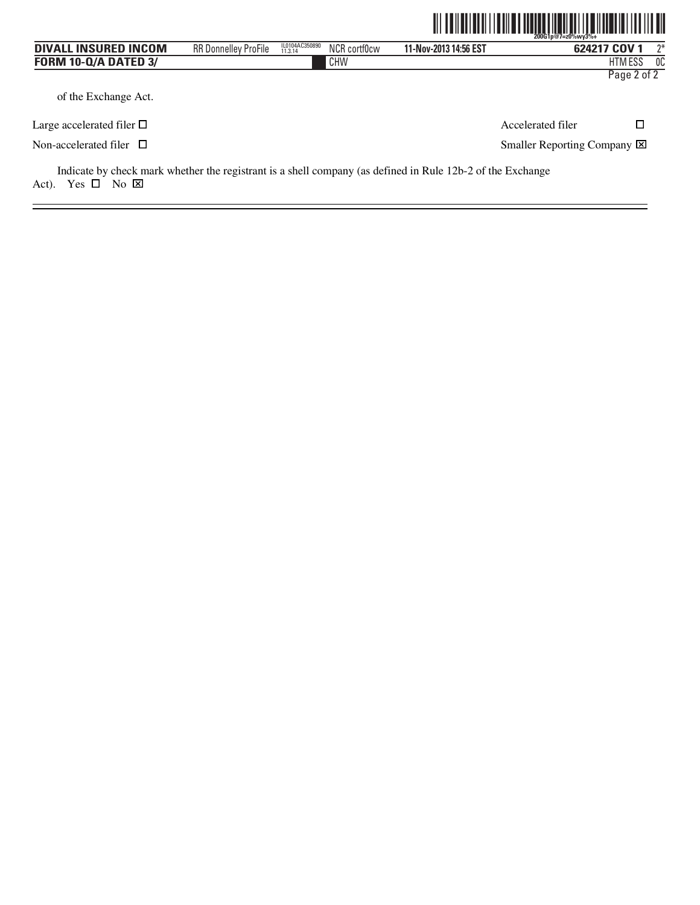|                                                                                                                                                                    |                             |                           |              |                       | 200G1p@7=z0%wy3%+                     | IIII   |
|--------------------------------------------------------------------------------------------------------------------------------------------------------------------|-----------------------------|---------------------------|--------------|-----------------------|---------------------------------------|--------|
| <b>DIVALL INSURED INCOM</b>                                                                                                                                        | <b>RR Donnelley ProFile</b> | IL0104AC350890<br>11.3.14 | NCR cortf0cw | 11-Nov-2013 14:56 EST | 624217 COV 1                          | - 2*   |
| <b>FORM 10-Q/A DATED 3/</b>                                                                                                                                        |                             |                           | CHW          |                       | HTM ESS                               | 0C     |
| of the Exchange Act.                                                                                                                                               |                             |                           |              |                       | Page 2 of 2                           |        |
| Large accelerated filer $\Box$                                                                                                                                     |                             |                           |              |                       | Accelerated filer                     | $\Box$ |
| Non-accelerated filer $\Box$                                                                                                                                       |                             |                           |              |                       | Smaller Reporting Company $\boxtimes$ |        |
| Indicate by check mark whether the registrant is a shell company (as defined in Rule 12b-2 of the Exchange<br>Yes $\Box$<br>$\overline{N}$ $\overline{X}$<br>Act). |                             |                           |              |                       |                                       |        |

 $\overline{a}$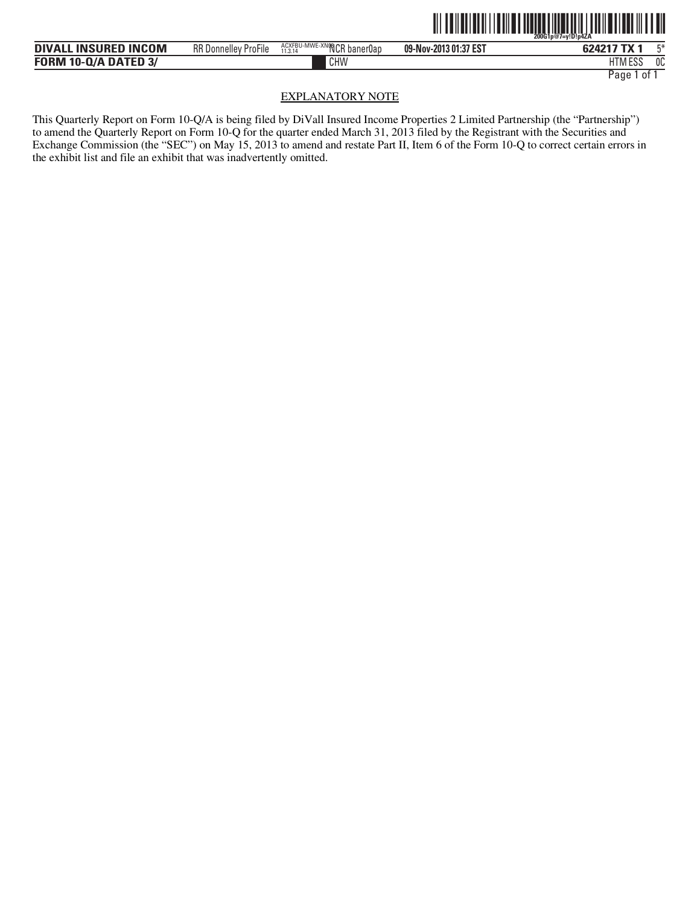

| <b>INCOM</b><br><b>DIVALL INSURED</b> | <b>RR Donnellev</b><br>ProFile | ACXFBU-MWE-XNORICR<br>ACXFBU-MWE-.<br>baner0an<br>11.3.14<br>ושטו | 09-Nov-2013 01:37 EST | 624217 TX          | mж |
|---------------------------------------|--------------------------------|-------------------------------------------------------------------|-----------------------|--------------------|----|
| <b>FORM 10-Q/A</b><br>DATED 3/        |                                | CHW                                                               |                       | TTABFAA<br>11M ESS | 0C |

### EXPLANATORY NOTE

This Quarterly Report on Form 10-Q/A is being filed by DiVall Insured Income Properties 2 Limited Partnership (the "Partnership") to amend the Quarterly Report on Form 10-Q for the quarter ended March 31, 2013 filed by the Registrant with the Securities and Exchange Commission (the "SEC") on May 15, 2013 to amend and restate Part II, Item 6 of the Form 10-Q to correct certain errors in the exhibit list and file an exhibit that was inadvertently omitted.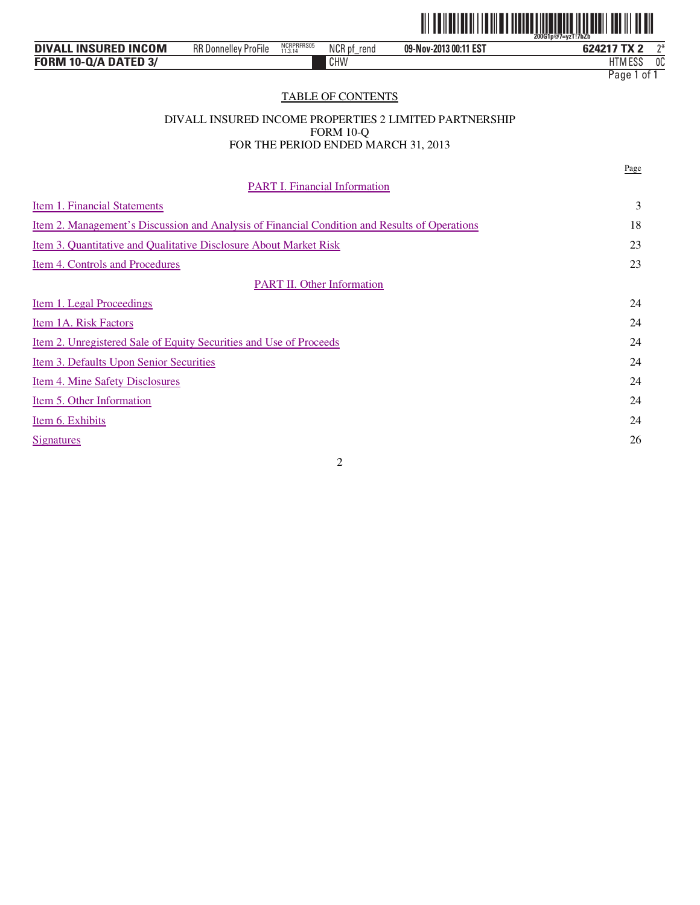# ˆ200G1p@7=yzT!7bZbŠ **200G1p@7=yzT!7bZb**

|                         | $n*$<br><b>CONO17</b><br>$T$ $\mathbf{V}$ | 09-Nov-2013 00:11 EST | NCR pt<br>rend | NCRPRFRS05<br>11.3.14 | <b>RR</b> Donnelley<br>' ProFile | <b>INCOM</b><br><b>INSURED</b><br><b>DIVAI</b> |
|-------------------------|-------------------------------------------|-----------------------|----------------|-----------------------|----------------------------------|------------------------------------------------|
| $F^{\alpha}$<br>HIM ESS | 0C                                        |                       | CHW            |                       |                                  | <b>FORM</b><br>-0/A DATED 3/<br>$10-$          |

Page 1 of 1

### TABLE OF CONTENTS

### DIVALL INSURED INCOME PROPERTIES 2 LIMITED PARTNERSHIP FORM 10-Q FOR THE PERIOD ENDED MARCH 31, 2013

|                                                                                               | Page |
|-----------------------------------------------------------------------------------------------|------|
| <b>PART I. Financial Information</b>                                                          |      |
| <b>Item 1. Financial Statements</b>                                                           | 3    |
| Item 2. Management's Discussion and Analysis of Financial Condition and Results of Operations | 18   |
| Item 3. Quantitative and Qualitative Disclosure About Market Risk                             | 23   |
| Item 4. Controls and Procedures                                                               | 23   |
| <b>PART II. Other Information</b>                                                             |      |
| Item 1. Legal Proceedings                                                                     | 24   |
| Item 1A. Risk Factors                                                                         | 24   |
| Item 2. Unregistered Sale of Equity Securities and Use of Proceeds                            | 24   |
| Item 3. Defaults Upon Senior Securities                                                       | 24   |
| Item 4. Mine Safety Disclosures                                                               | 24   |
| Item 5. Other Information                                                                     | 24   |
| Item 6. Exhibits                                                                              | 24   |
| <b>Signatures</b>                                                                             | 26   |
| 2                                                                                             |      |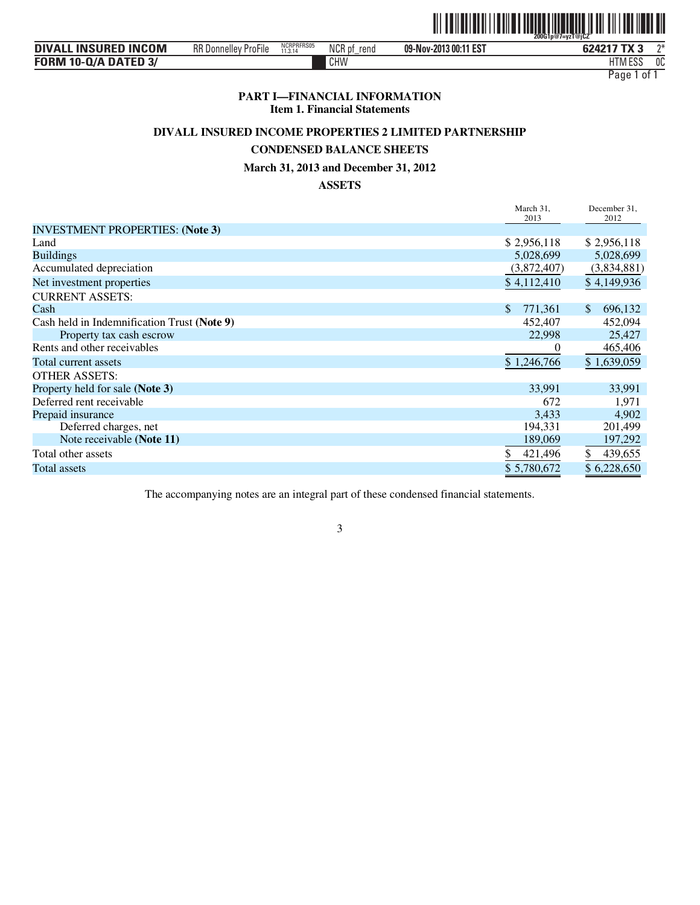

| . INSURED INCOM<br><b>DIVALL</b> | <b>RR Donnelley ProFile</b> | NCRPRFRS05<br>11.3.14 | NCR pf<br>rend | 09-Nov-2013 00:11 EST | $324217$ T.<br>rv -<br>æ | $n*$ |
|----------------------------------|-----------------------------|-----------------------|----------------|-----------------------|--------------------------|------|
| <b>FORM 10-Q/A DATED 3/</b>      |                             |                       | CHW            |                       | $F^{\alpha}$<br>HIM ESS  | 0C   |

### **PART I—FINANCIAL INFORMATION Item 1. Financial Statements**

### **DIVALL INSURED INCOME PROPERTIES 2 LIMITED PARTNERSHIP**

### **CONDENSED BALANCE SHEETS**

### **March 31, 2013 and December 31, 2012**

### **ASSETS**

|                                             | March 31,<br>2013 | December 31,<br>2012 |
|---------------------------------------------|-------------------|----------------------|
| <b>INVESTMENT PROPERTIES: (Note 3)</b>      |                   |                      |
| Land                                        | \$2,956,118       | \$2,956,118          |
| <b>Buildings</b>                            | 5,028,699         | 5,028,699            |
| Accumulated depreciation                    | (3,872,407)       | (3,834,881)          |
| Net investment properties                   | \$4,112,410       | \$4,149,936          |
| <b>CURRENT ASSETS:</b>                      |                   |                      |
| Cash                                        | 771,361<br>\$     | 696,132<br>\$.       |
| Cash held in Indemnification Trust (Note 9) | 452,407           | 452,094              |
| Property tax cash escrow                    | 22,998            | 25,427               |
| Rents and other receivables                 | 0                 | 465,406              |
| Total current assets                        | \$1,246,766       | \$1,639,059          |
| <b>OTHER ASSETS:</b>                        |                   |                      |
| Property held for sale (Note 3)             | 33,991            | 33,991               |
| Deferred rent receivable                    | 672               | 1,971                |
| Prepaid insurance                           | 3,433             | 4,902                |
| Deferred charges, net                       | 194,331           | 201,499              |
| Note receivable (Note 11)                   | 189,069           | 197,292              |
| Total other assets                          | 421,496           | 439,655              |
| <b>Total assets</b>                         | \$5,780,672       | \$6,228,650          |

The accompanying notes are an integral part of these condensed financial statements.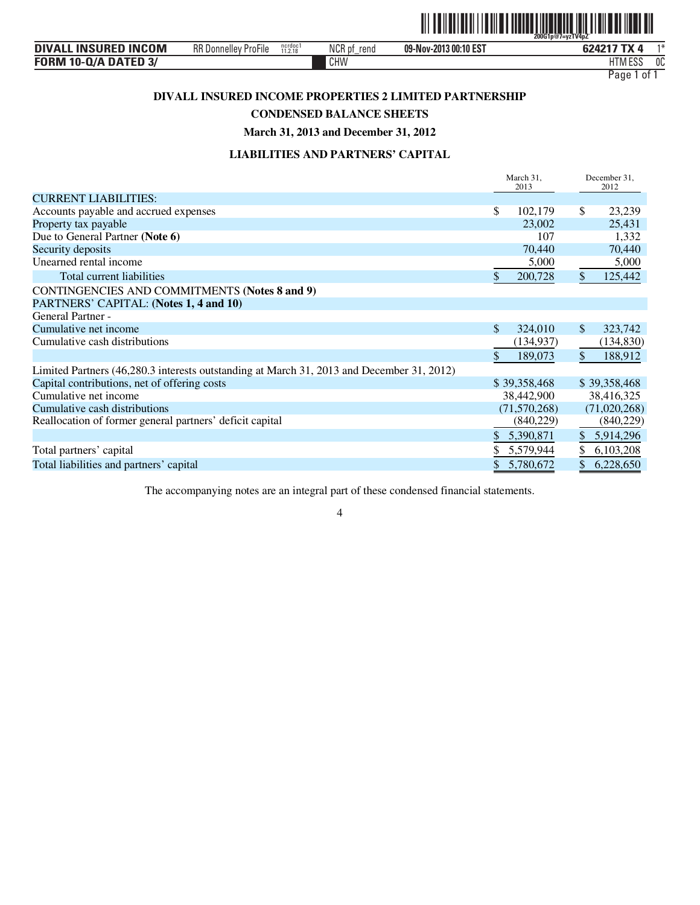

| . INSURED INCOM<br><b>DIVALL</b> | $-\cdot$ .<br><b>RR</b> Donnelley<br>ProFile | ncrdoc1<br>11.2.18 | NCR pf<br>rend | 09-Nov-2013 00:10 EST | 624217 TX                      | $1*$ |
|----------------------------------|----------------------------------------------|--------------------|----------------|-----------------------|--------------------------------|------|
| <b>FORM 10-Q/A DATED 3/</b>      |                                              |                    | CHW            |                       | <b>IITM FOC</b><br>H I IVI EƏƏ | 0C   |

### **DIVALL INSURED INCOME PROPERTIES 2 LIMITED PARTNERSHIP**

### **CONDENSED BALANCE SHEETS**

**March 31, 2013 and December 31, 2012** 

### **LIABILITIES AND PARTNERS' CAPITAL**

|                                                                                           |    | March 31,<br>2013 |               | December 31.<br>2012 |
|-------------------------------------------------------------------------------------------|----|-------------------|---------------|----------------------|
| <b>CURRENT LIABILITIES:</b>                                                               |    |                   |               |                      |
| Accounts payable and accrued expenses                                                     | \$ | 102,179           | \$            | 23,239               |
| Property tax payable                                                                      |    | 23,002            |               | 25,431               |
| Due to General Partner (Note 6)                                                           |    | 107               |               | 1,332                |
| Security deposits                                                                         |    | 70,440            |               | 70,440               |
| Unearned rental income                                                                    |    | 5,000             |               | 5,000                |
| Total current liabilities                                                                 | \$ | 200,728           | \$            | 125,442              |
| <b>CONTINGENCIES AND COMMITMENTS (Notes 8 and 9)</b>                                      |    |                   |               |                      |
| PARTNERS' CAPITAL: (Notes 1, 4 and 10)                                                    |    |                   |               |                      |
| General Partner -                                                                         |    |                   |               |                      |
| Cumulative net income                                                                     | \$ | 324,010           | <sup>\$</sup> | 323,742              |
| Cumulative cash distributions                                                             |    | (134, 937)        |               | (134, 830)           |
|                                                                                           | \$ | 189,073           | \$            | 188,912              |
| Limited Partners (46,280.3 interests outstanding at March 31, 2013 and December 31, 2012) |    |                   |               |                      |
| Capital contributions, net of offering costs                                              |    | \$39,358,468      |               | \$39,358,468         |
| Cumulative net income                                                                     |    | 38,442,900        |               | 38,416,325           |
| Cumulative cash distributions                                                             |    | (71, 570, 268)    |               | (71,020,268)         |
| Reallocation of former general partners' deficit capital                                  |    | (840, 229)        |               | (840, 229)           |
|                                                                                           | \$ | 5,390,871         | \$            | 5,914,296            |
| Total partners' capital                                                                   |    | 5,579,944         | \$            | 6,103,208            |
| Total liabilities and partners' capital                                                   | S  | 5,780,672         | \$            | 6,228,650            |

The accompanying notes are an integral part of these condensed financial statements.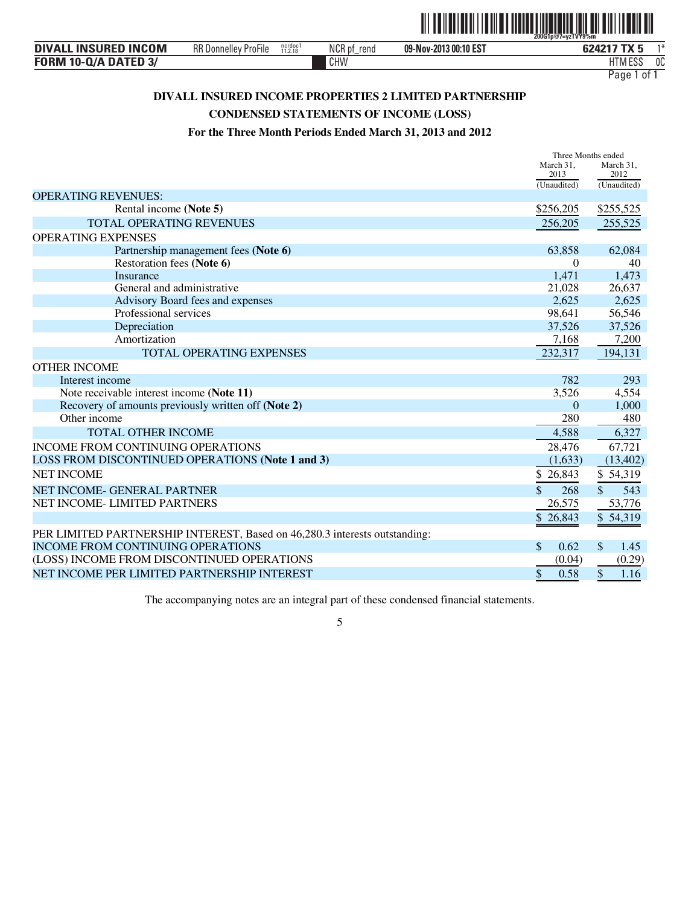

| <b>DIVALL INSURED INCOM</b> | <b>RR</b> Donnelley<br>ProFile | ncrdoc1<br>11.2.18 | NCR pf<br>rend | 09-Nov-2013 00:10 EST | 624217 TX<br>£   | $4*$ |
|-----------------------------|--------------------------------|--------------------|----------------|-----------------------|------------------|------|
| <b>FORM 10-Q/A DATED 3/</b> |                                |                    | CHW            |                       | $  -$<br>HIM ESS | 0C   |

# **DIVALL INSURED INCOME PROPERTIES 2 LIMITED PARTNERSHIP**

### **CONDENSED STATEMENTS OF INCOME (LOSS)**

### **For the Three Month Periods Ended March 31, 2013 and 2012**

|                                                                            | Three Months ended<br>March 31. | March 31.            |
|----------------------------------------------------------------------------|---------------------------------|----------------------|
|                                                                            | 2013<br>(Unaudited)             | 2012<br>(Unaudited)  |
| <b>OPERATING REVENUES:</b>                                                 |                                 |                      |
| Rental income (Note 5)                                                     | \$256,205                       | \$255,525            |
| <b>TOTAL OPERATING REVENUES</b>                                            | 256,205                         | 255,525              |
| <b>OPERATING EXPENSES</b>                                                  |                                 |                      |
| Partnership management fees (Note 6)                                       | 63,858                          | 62,084               |
| Restoration fees (Note 6)                                                  | $\overline{0}$                  | 40                   |
| <b>Insurance</b>                                                           | 1,471                           | 1,473                |
| General and administrative                                                 | 21,028                          | 26,637               |
| Advisory Board fees and expenses                                           | 2,625                           | 2,625                |
| Professional services                                                      | 98,641                          | 56,546               |
| Depreciation                                                               | 37,526                          | 37,526               |
| Amortization                                                               | 7,168                           | 7,200                |
| <b>TOTAL OPERATING EXPENSES</b>                                            | 232,317                         | 194.131              |
| <b>OTHER INCOME</b>                                                        |                                 |                      |
| Interest income                                                            | 782                             | 293                  |
| Note receivable interest income (Note 11)                                  | 3,526                           | 4,554                |
| Recovery of amounts previously written off (Note 2)                        | $\theta$                        | 1,000                |
| Other income                                                               | 280                             | 480                  |
| <b>TOTAL OTHER INCOME</b>                                                  | 4,588                           | 6,327                |
| <b>INCOME FROM CONTINUING OPERATIONS</b>                                   | 28,476                          | 67,721               |
| LOSS FROM DISCONTINUED OPERATIONS (Note 1 and 3)                           | (1,633)                         | (13, 402)            |
| <b>NET INCOME</b>                                                          | \$<br>26,843                    | \$54,319             |
| NET INCOME- GENERAL PARTNER                                                | $\mathbf{\hat{s}}$<br>268       | $\mathbb{S}$<br>543  |
| NET INCOME-LIMITED PARTNERS                                                | 26,575                          | 53,776               |
|                                                                            | \$26,843                        | \$54,319             |
| PER LIMITED PARTNERSHIP INTEREST, Based on 46,280.3 interests outstanding: |                                 |                      |
| <b>INCOME FROM CONTINUING OPERATIONS</b>                                   | \$<br>0.62                      | $\mathbb{S}$<br>1.45 |
| (LOSS) INCOME FROM DISCONTINUED OPERATIONS                                 | (0.04)                          | (0.29)               |
| NET INCOME PER LIMITED PARTNERSHIP INTEREST                                | \$<br>0.58                      | \$<br>1.16           |

The accompanying notes are an integral part of these condensed financial statements.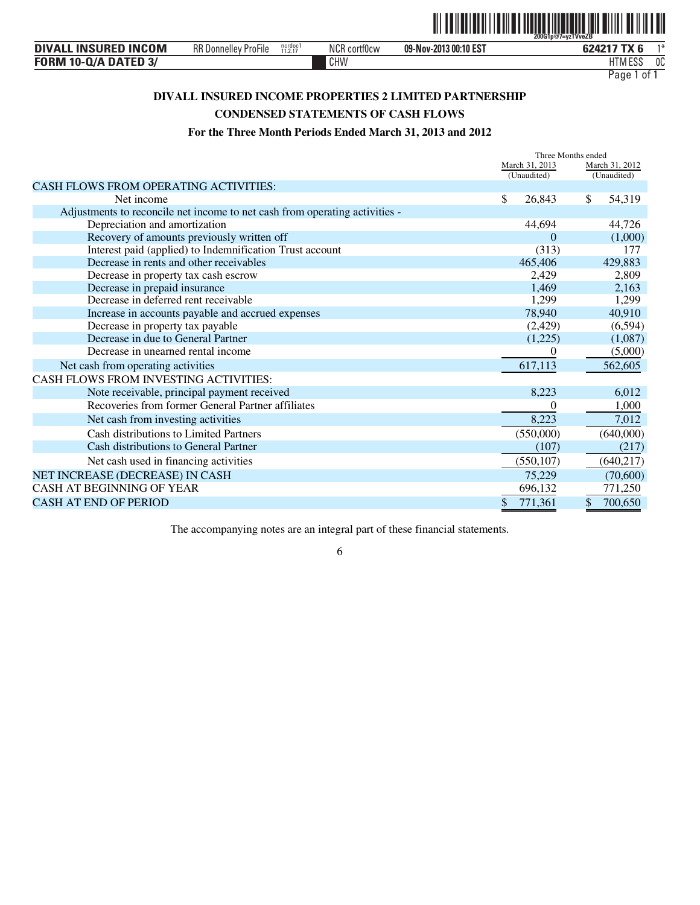

| <b>LINSURED INCOM</b><br><b>DIVALL</b> | ---<br>RR D<br>. Donnellev<br>' ProFile | ncrdoc1<br>11.2.17 | NCR cortf0cw | 09-Nov-2013 00:10 EST | 624217 TY 6                   | $4*$ |
|----------------------------------------|-----------------------------------------|--------------------|--------------|-----------------------|-------------------------------|------|
| <b>FORM 10-Q/A DATED 3/</b>            |                                         |                    | CHW          |                       | $F^{\alpha}$<br><b>HIMESS</b> | 0C   |
|                                        |                                         |                    |              |                       |                               |      |

## **DIVALL INSURED INCOME PROPERTIES 2 LIMITED PARTNERSHIP**

### **CONDENSED STATEMENTS OF CASH FLOWS**

### **For the Three Month Periods Ended March 31, 2013 and 2012**

|                                                                             | Three Months ended |                |
|-----------------------------------------------------------------------------|--------------------|----------------|
|                                                                             | March 31, 2013     | March 31, 2012 |
|                                                                             | (Unaudited)        | (Unaudited)    |
| <b>CASH FLOWS FROM OPERATING ACTIVITIES:</b>                                |                    |                |
| Net income                                                                  | \$<br>26,843       | \$<br>54,319   |
| Adjustments to reconcile net income to net cash from operating activities - |                    |                |
| Depreciation and amortization                                               | 44,694             | 44,726         |
| Recovery of amounts previously written off                                  | $\Omega$           | (1,000)        |
| Interest paid (applied) to Indemnification Trust account                    | (313)              | 177            |
| Decrease in rents and other receivables                                     | 465,406            | 429,883        |
| Decrease in property tax cash escrow                                        | 2,429              | 2,809          |
| Decrease in prepaid insurance                                               | 1,469              | 2,163          |
| Decrease in deferred rent receivable                                        | 1,299              | 1,299          |
| Increase in accounts payable and accrued expenses                           | 78,940             | 40,910         |
| Decrease in property tax payable                                            | (2,429)            | (6, 594)       |
| Decrease in due to General Partner                                          | (1,225)            | (1,087)        |
| Decrease in unearned rental income                                          | $\theta$           | (5,000)        |
| Net cash from operating activities                                          | 617,113            | 562,605        |
| CASH FLOWS FROM INVESTING ACTIVITIES:                                       |                    |                |
| Note receivable, principal payment received                                 | 8,223              | 6,012          |
| Recoveries from former General Partner affiliates                           | 0                  | 1,000          |
| Net cash from investing activities                                          | 8,223              | 7,012          |
| Cash distributions to Limited Partners                                      | (550,000)          | (640,000)      |
| Cash distributions to General Partner                                       | (107)              | (217)          |
| Net cash used in financing activities                                       | (550, 107)         | (640, 217)     |
| NET INCREASE (DECREASE) IN CASH                                             | 75,229             | (70,600)       |
| CASH AT BEGINNING OF YEAR                                                   | 696,132            | 771,250        |
| CASH AT END OF PERIOD                                                       | \$<br>771,361      | 700,650        |
|                                                                             |                    |                |

The accompanying notes are an integral part of these financial statements.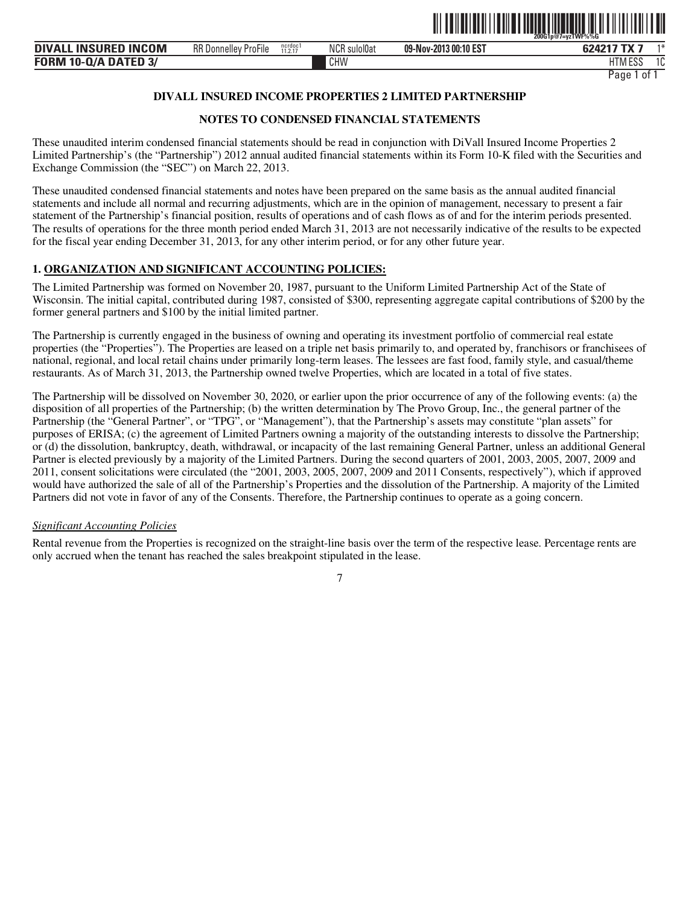|                             |                             |                    |                   |                       | $\overline{200\text{G}}\overline{1}\text{p@7}$ =vzTWF%%G |                       |
|-----------------------------|-----------------------------|--------------------|-------------------|-----------------------|----------------------------------------------------------|-----------------------|
| Divall insured incom        | <b>RR Donnellev ProFile</b> | ncrdoc1<br>11.2.17 | NCR<br>3 sulol0at | 09-Nov-2013 00:10 EST | 624217 TX 7                                              | $1*$                  |
| <b>FORM 10-Q/A DATED 3/</b> |                             |                    | CHW               |                       | <b>HTM ESS</b>                                           | $\overline{10}$<br>ιu |

ˆ200G1p@7=yzTWF%%GŠ

### **DIVALL INSURED INCOME PROPERTIES 2 LIMITED PARTNERSHIP**

### **NOTES TO CONDENSED FINANCIAL STATEMENTS**

These unaudited interim condensed financial statements should be read in conjunction with DiVall Insured Income Properties 2 Limited Partnership's (the "Partnership") 2012 annual audited financial statements within its Form 10-K filed with the Securities and Exchange Commission (the "SEC") on March 22, 2013.

These unaudited condensed financial statements and notes have been prepared on the same basis as the annual audited financial statements and include all normal and recurring adjustments, which are in the opinion of management, necessary to present a fair statement of the Partnership's financial position, results of operations and of cash flows as of and for the interim periods presented. The results of operations for the three month period ended March 31, 2013 are not necessarily indicative of the results to be expected for the fiscal year ending December 31, 2013, for any other interim period, or for any other future year.

### **1. ORGANIZATION AND SIGNIFICANT ACCOUNTING POLICIES:**

The Limited Partnership was formed on November 20, 1987, pursuant to the Uniform Limited Partnership Act of the State of Wisconsin. The initial capital, contributed during 1987, consisted of \$300, representing aggregate capital contributions of \$200 by the former general partners and \$100 by the initial limited partner.

The Partnership is currently engaged in the business of owning and operating its investment portfolio of commercial real estate properties (the "Properties"). The Properties are leased on a triple net basis primarily to, and operated by, franchisors or franchisees of national, regional, and local retail chains under primarily long-term leases. The lessees are fast food, family style, and casual/theme restaurants. As of March 31, 2013, the Partnership owned twelve Properties, which are located in a total of five states.

The Partnership will be dissolved on November 30, 2020, or earlier upon the prior occurrence of any of the following events: (a) the disposition of all properties of the Partnership; (b) the written determination by The Provo Group, Inc., the general partner of the Partnership (the "General Partner", or "TPG", or "Management"), that the Partnership's assets may constitute "plan assets" for purposes of ERISA; (c) the agreement of Limited Partners owning a majority of the outstanding interests to dissolve the Partnership; or (d) the dissolution, bankruptcy, death, withdrawal, or incapacity of the last remaining General Partner, unless an additional General Partner is elected previously by a majority of the Limited Partners. During the second quarters of 2001, 2003, 2005, 2007, 2009 and 2011, consent solicitations were circulated (the "2001, 2003, 2005, 2007, 2009 and 2011 Consents, respectively"), which if approved would have authorized the sale of all of the Partnership's Properties and the dissolution of the Partnership. A majority of the Limited Partners did not vote in favor of any of the Consents. Therefore, the Partnership continues to operate as a going concern.

#### *Significant Accounting Policies*

Rental revenue from the Properties is recognized on the straight-line basis over the term of the respective lease. Percentage rents are only accrued when the tenant has reached the sales breakpoint stipulated in the lease.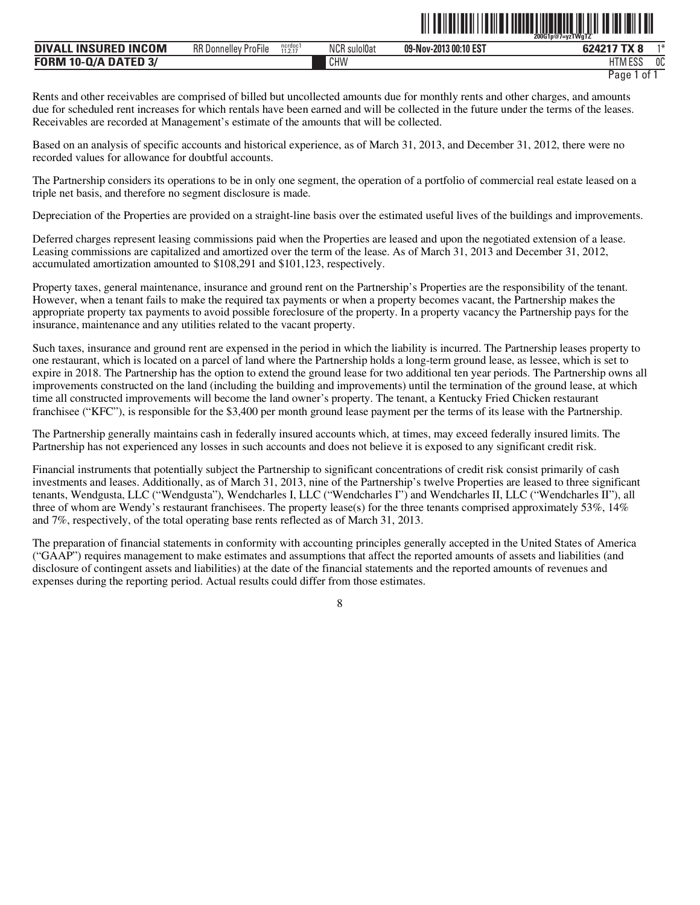|                                  |                             |                    |                          | .                     | $200G1p@7 = yzTWqTZ$                          |
|----------------------------------|-----------------------------|--------------------|--------------------------|-----------------------|-----------------------------------------------|
| . INSURED INCOM<br><b>DIVALL</b> | <b>RR Donnelley ProFile</b> | ncrdoc1<br>11.2.17 | NCR<br><b>R</b> sulol0at | 09-Nov-2013 00:10 EST | $1*$<br>624217 TX 8                           |
| <b>FORM 10-Q/A DATED 3/</b>      |                             |                    | CHW                      |                       | $P_{\rm C}$<br>0C<br>HT <sub>N</sub><br>™ Eou |
|                                  |                             |                    |                          |                       | Paqe<br>01                                    |

™™™™™™™™™™™™™™™™™™™™™™™™

Rents and other receivables are comprised of billed but uncollected amounts due for monthly rents and other charges, and amounts due for scheduled rent increases for which rentals have been earned and will be collected in the future under the terms of the leases. Receivables are recorded at Management's estimate of the amounts that will be collected.

Based on an analysis of specific accounts and historical experience, as of March 31, 2013, and December 31, 2012, there were no recorded values for allowance for doubtful accounts.

The Partnership considers its operations to be in only one segment, the operation of a portfolio of commercial real estate leased on a triple net basis, and therefore no segment disclosure is made.

Depreciation of the Properties are provided on a straight-line basis over the estimated useful lives of the buildings and improvements.

Deferred charges represent leasing commissions paid when the Properties are leased and upon the negotiated extension of a lease. Leasing commissions are capitalized and amortized over the term of the lease. As of March 31, 2013 and December 31, 2012, accumulated amortization amounted to \$108,291 and \$101,123, respectively.

Property taxes, general maintenance, insurance and ground rent on the Partnership's Properties are the responsibility of the tenant. However, when a tenant fails to make the required tax payments or when a property becomes vacant, the Partnership makes the appropriate property tax payments to avoid possible foreclosure of the property. In a property vacancy the Partnership pays for the insurance, maintenance and any utilities related to the vacant property.

Such taxes, insurance and ground rent are expensed in the period in which the liability is incurred. The Partnership leases property to one restaurant, which is located on a parcel of land where the Partnership holds a long-term ground lease, as lessee, which is set to expire in 2018. The Partnership has the option to extend the ground lease for two additional ten year periods. The Partnership owns all improvements constructed on the land (including the building and improvements) until the termination of the ground lease, at which time all constructed improvements will become the land owner's property. The tenant, a Kentucky Fried Chicken restaurant franchisee ("KFC"), is responsible for the \$3,400 per month ground lease payment per the terms of its lease with the Partnership.

The Partnership generally maintains cash in federally insured accounts which, at times, may exceed federally insured limits. The Partnership has not experienced any losses in such accounts and does not believe it is exposed to any significant credit risk.

Financial instruments that potentially subject the Partnership to significant concentrations of credit risk consist primarily of cash investments and leases. Additionally, as of March 31, 2013, nine of the Partnership's twelve Properties are leased to three significant tenants, Wendgusta, LLC ("Wendgusta"), Wendcharles I, LLC ("Wendcharles I") and Wendcharles II, LLC ("Wendcharles II"), all three of whom are Wendy's restaurant franchisees. The property lease(s) for the three tenants comprised approximately 53%, 14% and 7%, respectively, of the total operating base rents reflected as of March 31, 2013.

The preparation of financial statements in conformity with accounting principles generally accepted in the United States of America ("GAAP") requires management to make estimates and assumptions that affect the reported amounts of assets and liabilities (and disclosure of contingent assets and liabilities) at the date of the financial statements and the reported amounts of revenues and expenses during the reporting period. Actual results could differ from those estimates.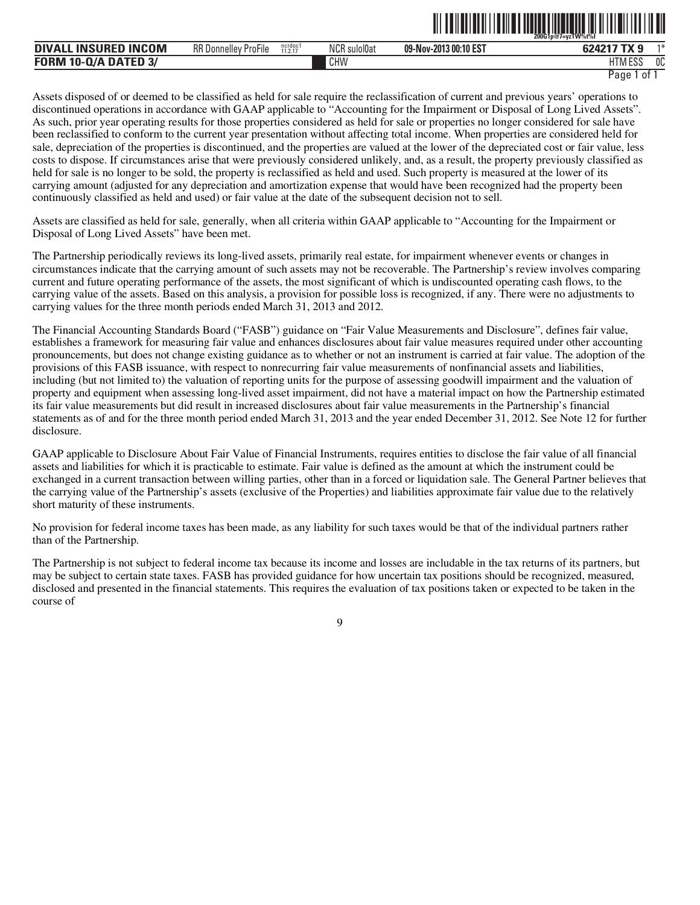|                                                               |                                           |                                |                 |                       | $200G1p@7 = yzTW%t%1$       | ---------      |
|---------------------------------------------------------------|-------------------------------------------|--------------------------------|-----------------|-----------------------|-----------------------------|----------------|
| <b>INCOM</b><br><b>INSURED</b><br><b>DIVALL</b>               | $-\cdot$ .<br>RR D<br>{ Donnellev ProFile | ncrdoc <sup>1</sup><br>11.2.17 | NCR<br>sulolOat | 09-Nov-2013 00:10 EST | COAO47 TV<br>OZ4            | $A$ $\Delta L$ |
| ∆/∩.<br><b>FORM</b><br><b>A DATED 3/</b><br>$10 -$<br>IJ<br>ш |                                           |                                | CHW             |                       | 1.738700<br>1 I IV I<br>∟ບເ | 0C             |

<u>oli od indiana i komunisti od indiana i komunisti od indiana i komunisti od indiana i komunisti od indiana i k</u>

Assets disposed of or deemed to be classified as held for sale require the reclassification of current and previous years' operations to discontinued operations in accordance with GAAP applicable to "Accounting for the Impairment or Disposal of Long Lived Assets". As such, prior year operating results for those properties considered as held for sale or properties no longer considered for sale have been reclassified to conform to the current year presentation without affecting total income. When properties are considered held for sale, depreciation of the properties is discontinued, and the properties are valued at the lower of the depreciated cost or fair value, less costs to dispose. If circumstances arise that were previously considered unlikely, and, as a result, the property previously classified as held for sale is no longer to be sold, the property is reclassified as held and used. Such property is measured at the lower of its carrying amount (adjusted for any depreciation and amortization expense that would have been recognized had the property been continuously classified as held and used) or fair value at the date of the subsequent decision not to sell.

Assets are classified as held for sale, generally, when all criteria within GAAP applicable to "Accounting for the Impairment or Disposal of Long Lived Assets" have been met.

The Partnership periodically reviews its long-lived assets, primarily real estate, for impairment whenever events or changes in circumstances indicate that the carrying amount of such assets may not be recoverable. The Partnership's review involves comparing current and future operating performance of the assets, the most significant of which is undiscounted operating cash flows, to the carrying value of the assets. Based on this analysis, a provision for possible loss is recognized, if any. There were no adjustments to carrying values for the three month periods ended March 31, 2013 and 2012.

The Financial Accounting Standards Board ("FASB") guidance on "Fair Value Measurements and Disclosure", defines fair value, establishes a framework for measuring fair value and enhances disclosures about fair value measures required under other accounting pronouncements, but does not change existing guidance as to whether or not an instrument is carried at fair value. The adoption of the provisions of this FASB issuance, with respect to nonrecurring fair value measurements of nonfinancial assets and liabilities, including (but not limited to) the valuation of reporting units for the purpose of assessing goodwill impairment and the valuation of property and equipment when assessing long-lived asset impairment, did not have a material impact on how the Partnership estimated its fair value measurements but did result in increased disclosures about fair value measurements in the Partnership's financial statements as of and for the three month period ended March 31, 2013 and the year ended December 31, 2012. See Note 12 for further disclosure.

GAAP applicable to Disclosure About Fair Value of Financial Instruments, requires entities to disclose the fair value of all financial assets and liabilities for which it is practicable to estimate. Fair value is defined as the amount at which the instrument could be exchanged in a current transaction between willing parties, other than in a forced or liquidation sale. The General Partner believes that the carrying value of the Partnership's assets (exclusive of the Properties) and liabilities approximate fair value due to the relatively short maturity of these instruments.

No provision for federal income taxes has been made, as any liability for such taxes would be that of the individual partners rather than of the Partnership.

The Partnership is not subject to federal income tax because its income and losses are includable in the tax returns of its partners, but may be subject to certain state taxes. FASB has provided guidance for how uncertain tax positions should be recognized, measured, disclosed and presented in the financial statements. This requires the evaluation of tax positions taken or expected to be taken in the course of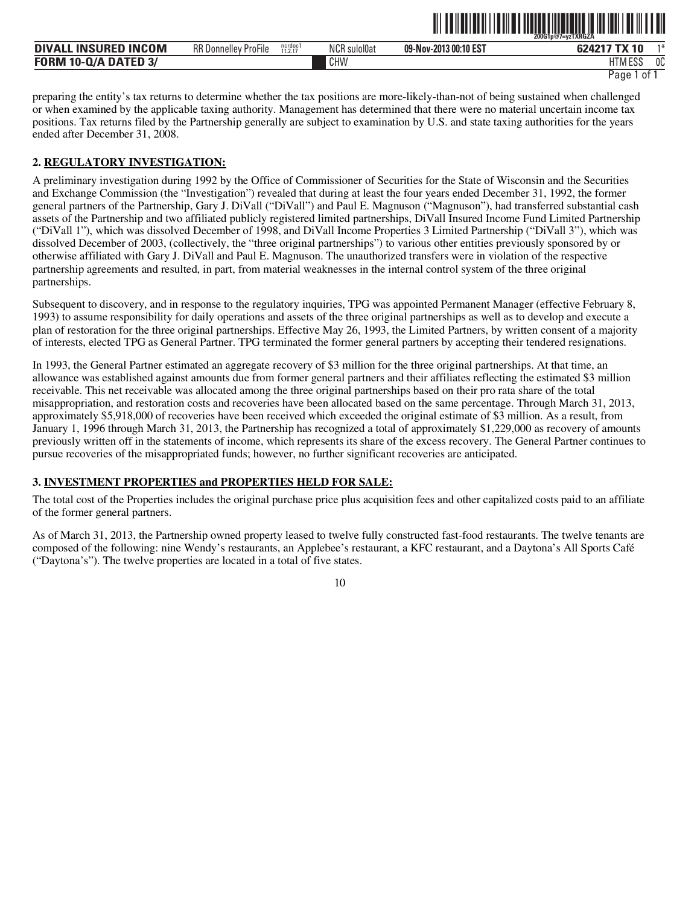|                                                            |                                           |                    |                             | - - - - - - - - - - - - - - - - - . | - 200G1p@7=vzTXRG2A           |                |
|------------------------------------------------------------|-------------------------------------------|--------------------|-----------------------------|-------------------------------------|-------------------------------|----------------|
| <b>INCOM</b><br><b>INS</b><br><b>DIVAI</b><br><b>SURED</b> | RR D<br>$-\cdot$ .<br>l Donnellev ProFile | ncrdoc1<br>11.2.17 | NCR<br>$\sim$<br>' suiol0at | 09-Nov-2013 00:10 EST               | <b>TX 10</b><br><b>CONO17</b> | $A$ $\Delta L$ |
| <b>FORM</b><br>$10-Q/A$<br><b>DATED 3/</b>                 |                                           |                    | CHW                         |                                     | 5.500<br>HТ<br>ועו ר<br>LUL   | $\sim$<br>็บเ  |

<u>îlî de nederlîkanî de nederlîkanê bi dewletan de nav</u>

preparing the entity's tax returns to determine whether the tax positions are more-likely-than-not of being sustained when challenged or when examined by the applicable taxing authority. Management has determined that there were no material uncertain income tax positions. Tax returns filed by the Partnership generally are subject to examination by U.S. and state taxing authorities for the years ended after December 31, 2008.

### **2. REGULATORY INVESTIGATION:**

A preliminary investigation during 1992 by the Office of Commissioner of Securities for the State of Wisconsin and the Securities and Exchange Commission (the "Investigation") revealed that during at least the four years ended December 31, 1992, the former general partners of the Partnership, Gary J. DiVall ("DiVall") and Paul E. Magnuson ("Magnuson"), had transferred substantial cash assets of the Partnership and two affiliated publicly registered limited partnerships, DiVall Insured Income Fund Limited Partnership ("DiVall 1"), which was dissolved December of 1998, and DiVall Income Properties 3 Limited Partnership ("DiVall 3"), which was dissolved December of 2003, (collectively, the "three original partnerships") to various other entities previously sponsored by or otherwise affiliated with Gary J. DiVall and Paul E. Magnuson. The unauthorized transfers were in violation of the respective partnership agreements and resulted, in part, from material weaknesses in the internal control system of the three original partnerships.

Subsequent to discovery, and in response to the regulatory inquiries, TPG was appointed Permanent Manager (effective February 8, 1993) to assume responsibility for daily operations and assets of the three original partnerships as well as to develop and execute a plan of restoration for the three original partnerships. Effective May 26, 1993, the Limited Partners, by written consent of a majority of interests, elected TPG as General Partner. TPG terminated the former general partners by accepting their tendered resignations.

In 1993, the General Partner estimated an aggregate recovery of \$3 million for the three original partnerships. At that time, an allowance was established against amounts due from former general partners and their affiliates reflecting the estimated \$3 million receivable. This net receivable was allocated among the three original partnerships based on their pro rata share of the total misappropriation, and restoration costs and recoveries have been allocated based on the same percentage. Through March 31, 2013, approximately \$5,918,000 of recoveries have been received which exceeded the original estimate of \$3 million. As a result, from January 1, 1996 through March 31, 2013, the Partnership has recognized a total of approximately \$1,229,000 as recovery of amounts previously written off in the statements of income, which represents its share of the excess recovery. The General Partner continues to pursue recoveries of the misappropriated funds; however, no further significant recoveries are anticipated.

### **3. INVESTMENT PROPERTIES and PROPERTIES HELD FOR SALE:**

The total cost of the Properties includes the original purchase price plus acquisition fees and other capitalized costs paid to an affiliate of the former general partners.

As of March 31, 2013, the Partnership owned property leased to twelve fully constructed fast-food restaurants. The twelve tenants are composed of the following: nine Wendy's restaurants, an Applebee's restaurant, a KFC restaurant, and a Daytona's All Sports Café ("Daytona's"). The twelve properties are located in a total of five states.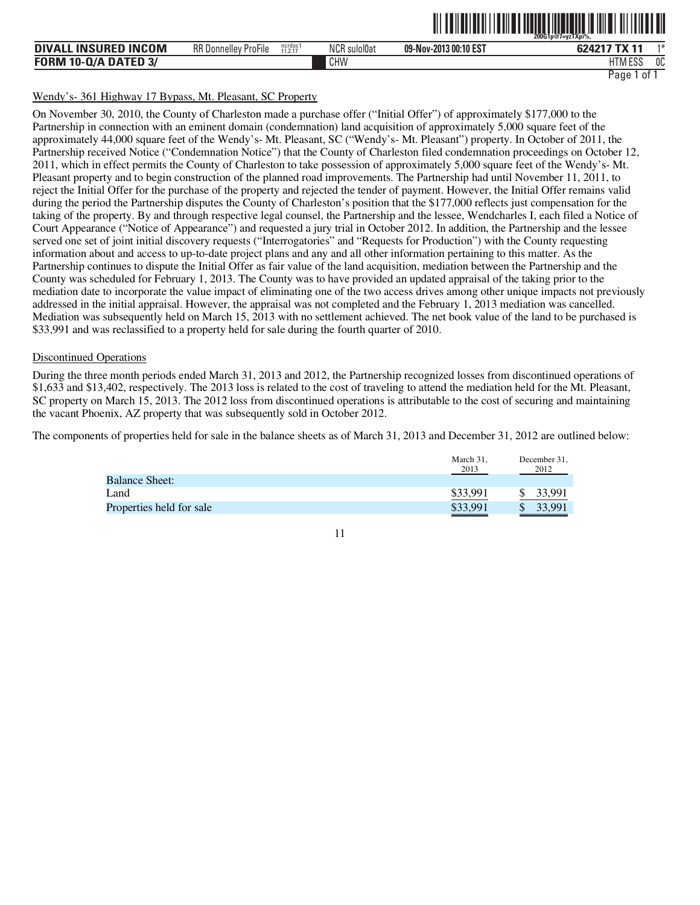|                                       |                                              |                   |                 |                       | 200G1p@7=yzTXpi%,     |      |
|---------------------------------------|----------------------------------------------|-------------------|-----------------|-----------------------|-----------------------|------|
| DIVAL<br><b>INCOM</b><br>. INSURED    | $-\cdot$ :<br><b>RR</b> Donnelley<br>ProFile | ncrdoc<br>11.2.17 | NCR<br>sulol0at | 09-Nov-2013 00:10 EST | 624217 TV 11          | $1*$ |
| <b>FORM 10-Q/A</b><br><b>DATED 3/</b> |                                              |                   | CHW             |                       | 11T11T00<br>H I M ESS | 0C   |

<u>oli tailarlari ilgilar tilitar ilgilari ilgilar til sonra al</u>

Page 1 of 1

#### Wendy's- 361 Highway 17 Bypass, Mt. Pleasant, SC Property

On November 30, 2010, the County of Charleston made a purchase offer ("Initial Offer") of approximately \$177,000 to the Partnership in connection with an eminent domain (condemnation) land acquisition of approximately 5,000 square feet of the approximately 44,000 square feet of the Wendy's- Mt. Pleasant, SC ("Wendy's- Mt. Pleasant") property. In October of 2011, the Partnership received Notice ("Condemnation Notice") that the County of Charleston filed condemnation proceedings on October 12, 2011, which in effect permits the County of Charleston to take possession of approximately 5,000 square feet of the Wendy's- Mt. Pleasant property and to begin construction of the planned road improvements. The Partnership had until November 11, 2011, to reject the Initial Offer for the purchase of the property and rejected the tender of payment. However, the Initial Offer remains valid during the period the Partnership disputes the County of Charleston's position that the \$177,000 reflects just compensation for the taking of the property. By and through respective legal counsel, the Partnership and the lessee, Wendcharles I, each filed a Notice of Court Appearance ("Notice of Appearance") and requested a jury trial in October 2012. In addition, the Partnership and the lessee served one set of joint initial discovery requests ("Interrogatories" and "Requests for Production") with the County requesting information about and access to up-to-date project plans and any and all other information pertaining to this matter. As the Partnership continues to dispute the Initial Offer as fair value of the land acquisition, mediation between the Partnership and the County was scheduled for February 1, 2013. The County was to have provided an updated appraisal of the taking prior to the mediation date to incorporate the value impact of eliminating one of the two access drives among other unique impacts not previously addressed in the initial appraisal. However, the appraisal was not completed and the February 1, 2013 mediation was cancelled. Mediation was subsequently held on March 15, 2013 with no settlement achieved. The net book value of the land to be purchased is \$33,991 and was reclassified to a property held for sale during the fourth quarter of 2010.

### Discontinued Operations

During the three month periods ended March 31, 2013 and 2012, the Partnership recognized losses from discontinued operations of \$1,633 and \$13,402, respectively. The 2013 loss is related to the cost of traveling to attend the mediation held for the Mt. Pleasant, SC property on March 15, 2013. The 2012 loss from discontinued operations is attributable to the cost of securing and maintaining the vacant Phoenix, AZ property that was subsequently sold in October 2012.

The components of properties held for sale in the balance sheets as of March 31, 2013 and December 31, 2012 are outlined below:

|                          | March 31,<br>2013 | December 31,<br>2012 |
|--------------------------|-------------------|----------------------|
| <b>Balance Sheet:</b>    |                   |                      |
| Land                     | \$33.991          | 33 QQ                |
| Properties held for sale | \$33,991          | 33.99                |

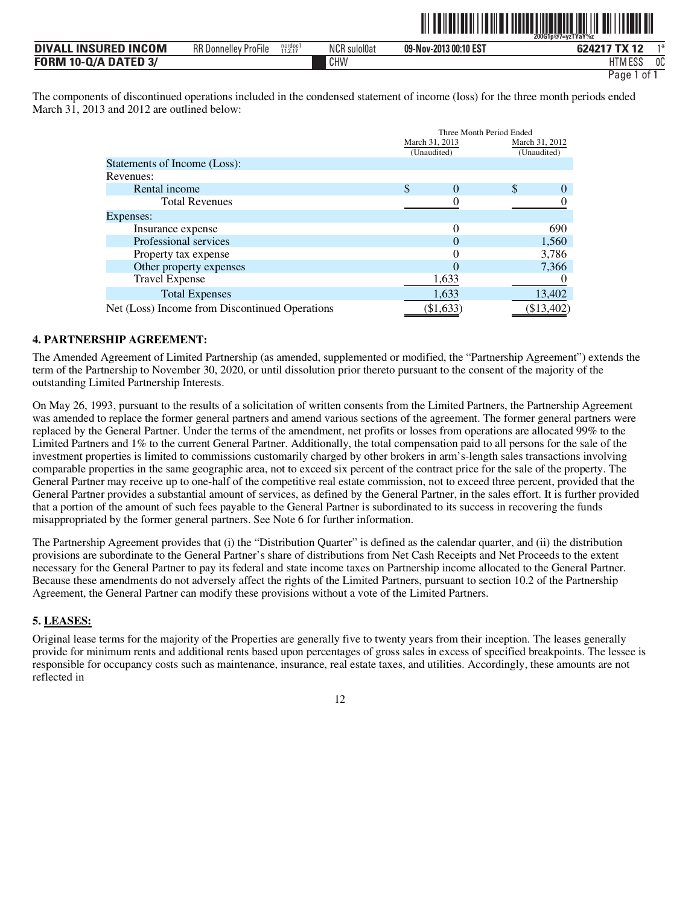|                                                       |                                                     |                    |                 |                       | $200G1p@7 = vzTYaY\%z$<br>.                 |         |
|-------------------------------------------------------|-----------------------------------------------------|--------------------|-----------------|-----------------------|---------------------------------------------|---------|
| <b>INSURFD</b><br><b>INCOM</b><br><b>DIVAL</b>        | RR D<br>$- \cdot \cdot$<br>-<br>l Donnellev ProFile | ncrdocl<br>11.2.17 | NCF<br>sulol0at | 09-Nov-2013 00:10 EST | $\sim$ - $\sim$ $\sim$<br>$\sim$<br>0.00007 | $-4.36$ |
| <b>FORM</b><br>$10-Q/A$<br>$T\Gamma\Gamma$ $2I$<br>DΔ |                                                     |                    | CHW             |                       | 1.500<br>11T<br>`، ف                        | 0C      |

ˆ200G1p@7=yzTYaY%zŠ

The components of discontinued operations included in the condensed statement of income (loss) for the three month periods ended March 31, 2013 and 2012 are outlined below:

|                                                |                |             | Three Month Period Ended |                |
|------------------------------------------------|----------------|-------------|--------------------------|----------------|
|                                                | March 31, 2013 |             |                          | March 31, 2012 |
|                                                | (Unaudited)    |             |                          | (Unaudited)    |
| Statements of Income (Loss):                   |                |             |                          |                |
| Revenues:                                      |                |             |                          |                |
| Rental income                                  | \$             | $\theta$    | \$                       | O              |
| <b>Total Revenues</b>                          |                |             |                          |                |
| Expenses:                                      |                |             |                          |                |
| Insurance expense                              |                | 0           |                          | 690            |
| Professional services                          |                | 0           |                          | 1,560          |
| Property tax expense                           |                | 0           |                          | 3,786          |
| Other property expenses                        |                |             |                          | 7.366          |
| <b>Travel Expense</b>                          |                | 1,633       |                          |                |
| <b>Total Expenses</b>                          |                | 1,633       |                          | 13,402         |
| Net (Loss) Income from Discontinued Operations |                | $(\$1,633)$ |                          | $(\$13,402)$   |

### **4. PARTNERSHIP AGREEMENT:**

The Amended Agreement of Limited Partnership (as amended, supplemented or modified, the "Partnership Agreement") extends the term of the Partnership to November 30, 2020, or until dissolution prior thereto pursuant to the consent of the majority of the outstanding Limited Partnership Interests.

On May 26, 1993, pursuant to the results of a solicitation of written consents from the Limited Partners, the Partnership Agreement was amended to replace the former general partners and amend various sections of the agreement. The former general partners were replaced by the General Partner. Under the terms of the amendment, net profits or losses from operations are allocated 99% to the Limited Partners and 1% to the current General Partner. Additionally, the total compensation paid to all persons for the sale of the investment properties is limited to commissions customarily charged by other brokers in arm's-length sales transactions involving comparable properties in the same geographic area, not to exceed six percent of the contract price for the sale of the property. The General Partner may receive up to one-half of the competitive real estate commission, not to exceed three percent, provided that the General Partner provides a substantial amount of services, as defined by the General Partner, in the sales effort. It is further provided that a portion of the amount of such fees payable to the General Partner is subordinated to its success in recovering the funds misappropriated by the former general partners. See Note 6 for further information.

The Partnership Agreement provides that (i) the "Distribution Quarter" is defined as the calendar quarter, and (ii) the distribution provisions are subordinate to the General Partner's share of distributions from Net Cash Receipts and Net Proceeds to the extent necessary for the General Partner to pay its federal and state income taxes on Partnership income allocated to the General Partner. Because these amendments do not adversely affect the rights of the Limited Partners, pursuant to section 10.2 of the Partnership Agreement, the General Partner can modify these provisions without a vote of the Limited Partners.

### **5. LEASES:**

Original lease terms for the majority of the Properties are generally five to twenty years from their inception. The leases generally provide for minimum rents and additional rents based upon percentages of gross sales in excess of specified breakpoints. The lessee is responsible for occupancy costs such as maintenance, insurance, real estate taxes, and utilities. Accordingly, these amounts are not reflected in

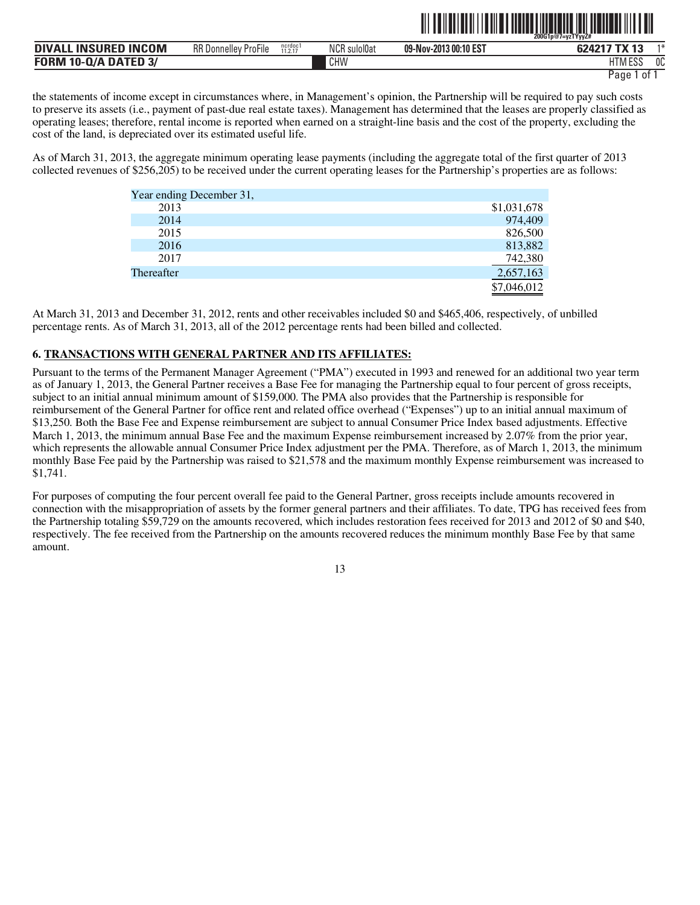|                                  |                                       |                    |                          |                       | $200G1p@7 = yzTYyyZ#$    |                |
|----------------------------------|---------------------------------------|--------------------|--------------------------|-----------------------|--------------------------|----------------|
| <b>DIVALL</b><br>. INSURED INCOM | RR D<br>$\sim$<br>l Donnellev ProFile | ncrdoc1<br>11.2.17 | <b>NCR</b><br>R sulol0at | 09-Nov-2013 00:10 EST | 624217 TX 13             | $A$ $\Delta L$ |
| <b>FORM 10-Q/A DATED 3/</b>      |                                       |                    | CHW                      |                       | $T_{\rm C}$<br>ШT<br>HIM | 0C             |

<u>ni toiloittii lailla tuotta liittiin lailla toimaan liittoi</u>

the statements of income except in circumstances where, in Management's opinion, the Partnership will be required to pay such costs to preserve its assets (i.e., payment of past-due real estate taxes). Management has determined that the leases are properly classified as operating leases; therefore, rental income is reported when earned on a straight-line basis and the cost of the property, excluding the cost of the land, is depreciated over its estimated useful life.

As of March 31, 2013, the aggregate minimum operating lease payments (including the aggregate total of the first quarter of 2013 collected revenues of \$256,205) to be received under the current operating leases for the Partnership's properties are as follows:

| Year ending December 31, |             |
|--------------------------|-------------|
| 2013                     | \$1,031,678 |
| 2014                     | 974,409     |
| 2015                     | 826,500     |
| 2016                     | 813,882     |
| 2017                     | 742,380     |
| Thereafter               | 2,657,163   |
|                          | \$7,046,012 |

At March 31, 2013 and December 31, 2012, rents and other receivables included \$0 and \$465,406, respectively, of unbilled percentage rents. As of March 31, 2013, all of the 2012 percentage rents had been billed and collected.

### **6. TRANSACTIONS WITH GENERAL PARTNER AND ITS AFFILIATES:**

Pursuant to the terms of the Permanent Manager Agreement ("PMA") executed in 1993 and renewed for an additional two year term as of January 1, 2013, the General Partner receives a Base Fee for managing the Partnership equal to four percent of gross receipts, subject to an initial annual minimum amount of \$159,000. The PMA also provides that the Partnership is responsible for reimbursement of the General Partner for office rent and related office overhead ("Expenses") up to an initial annual maximum of \$13,250. Both the Base Fee and Expense reimbursement are subject to annual Consumer Price Index based adjustments. Effective March 1, 2013, the minimum annual Base Fee and the maximum Expense reimbursement increased by 2.07% from the prior year, which represents the allowable annual Consumer Price Index adjustment per the PMA. Therefore, as of March 1, 2013, the minimum monthly Base Fee paid by the Partnership was raised to \$21,578 and the maximum monthly Expense reimbursement was increased to \$1,741.

For purposes of computing the four percent overall fee paid to the General Partner, gross receipts include amounts recovered in connection with the misappropriation of assets by the former general partners and their affiliates. To date, TPG has received fees from the Partnership totaling \$59,729 on the amounts recovered, which includes restoration fees received for 2013 and 2012 of \$0 and \$40, respectively. The fee received from the Partnership on the amounts recovered reduces the minimum monthly Base Fee by that same amount.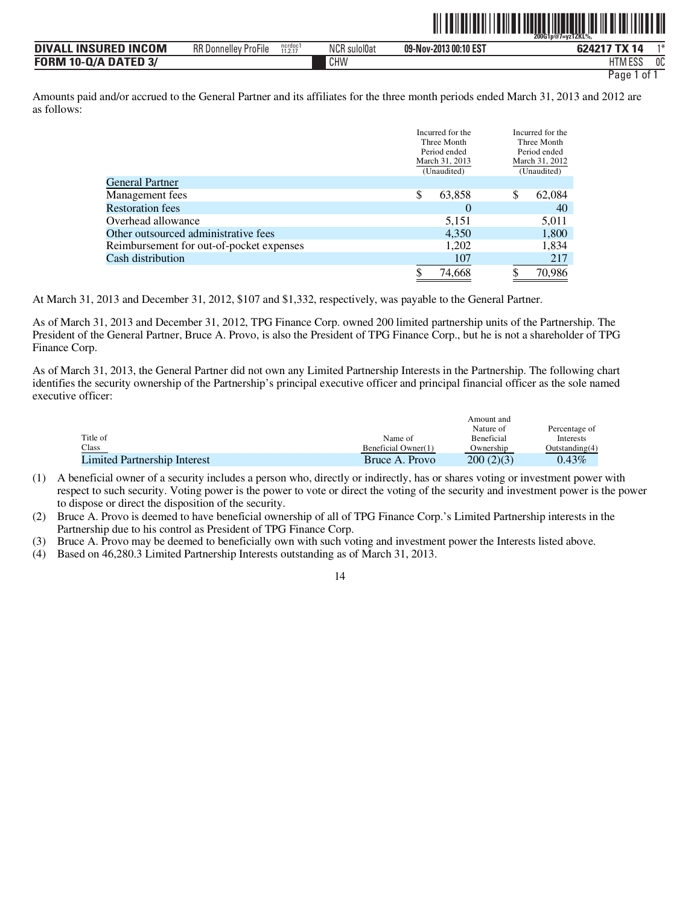| . INSURED INCOM<br><b>DIVALL</b> | <b>RR Donnelley ProFile</b> | ncrdoc1<br>11.2.17 | NCR sulol0at | 09-Nov-2013 00:10 EST | $1*$<br>624217 TX 14 |
|----------------------------------|-----------------------------|--------------------|--------------|-----------------------|----------------------|
| <b>FORM 10-Q/A DATED 3/</b>      |                             |                    | CHW          |                       | HTM ESS<br>0C        |
|                                  |                             |                    |              |                       | Page<br>0t           |

<u>oli tuliumi tuliumi tuliumi tuliumi tuliumi tuliumi tuliumi tul</u>

Amounts paid and/or accrued to the General Partner and its affiliates for the three month periods ended March 31, 2013 and 2012 are as follows:

|                                          | Incurred for the<br>Three Month<br>Period ended | Incurred for the<br>Three Month<br>Period ended |  |
|------------------------------------------|-------------------------------------------------|-------------------------------------------------|--|
|                                          | March 31, 2013<br>(Unaudited)                   | March 31, 2012<br>(Unaudited)                   |  |
| General Partner                          |                                                 |                                                 |  |
| Management fees                          | \$<br>63,858                                    | \$<br>62,084                                    |  |
| <b>Restoration fees</b>                  | $\theta$                                        | 40                                              |  |
| Overhead allowance                       | 5,151                                           | 5,011                                           |  |
| Other outsourced administrative fees     | 4,350                                           | 1,800                                           |  |
| Reimbursement for out-of-pocket expenses | 1,202                                           | 1,834                                           |  |
| Cash distribution                        | 107                                             | 217                                             |  |
|                                          | 74,668                                          | 70,986                                          |  |

At March 31, 2013 and December 31, 2012, \$107 and \$1,332, respectively, was payable to the General Partner.

As of March 31, 2013 and December 31, 2012, TPG Finance Corp. owned 200 limited partnership units of the Partnership. The President of the General Partner, Bruce A. Provo, is also the President of TPG Finance Corp., but he is not a shareholder of TPG Finance Corp.

As of March 31, 2013, the General Partner did not own any Limited Partnership Interests in the Partnership. The following chart identifies the security ownership of the Partnership's principal executive officer and principal financial officer as the sole named executive officer:

|                              |                     | Amount and        |                  |
|------------------------------|---------------------|-------------------|------------------|
|                              |                     | Nature of         | Percentage of    |
| Title of                     | Name of             | <b>Beneficial</b> | <b>Interests</b> |
| Class                        | Beneficial Owner(1) | Ownership         | Outstanding(4)   |
| Limited Partnership Interest | Bruce A. Provo      | 200(2)(3)         | 0.43%            |

- (1) A beneficial owner of a security includes a person who, directly or indirectly, has or shares voting or investment power with respect to such security. Voting power is the power to vote or direct the voting of the security and investment power is the power to dispose or direct the disposition of the security.
- (2) Bruce A. Provo is deemed to have beneficial ownership of all of TPG Finance Corp.'s Limited Partnership interests in the Partnership due to his control as President of TPG Finance Corp.
- (3) Bruce A. Provo may be deemed to beneficially own with such voting and investment power the Interests listed above.
- (4) Based on 46,280.3 Limited Partnership Interests outstanding as of March 31, 2013.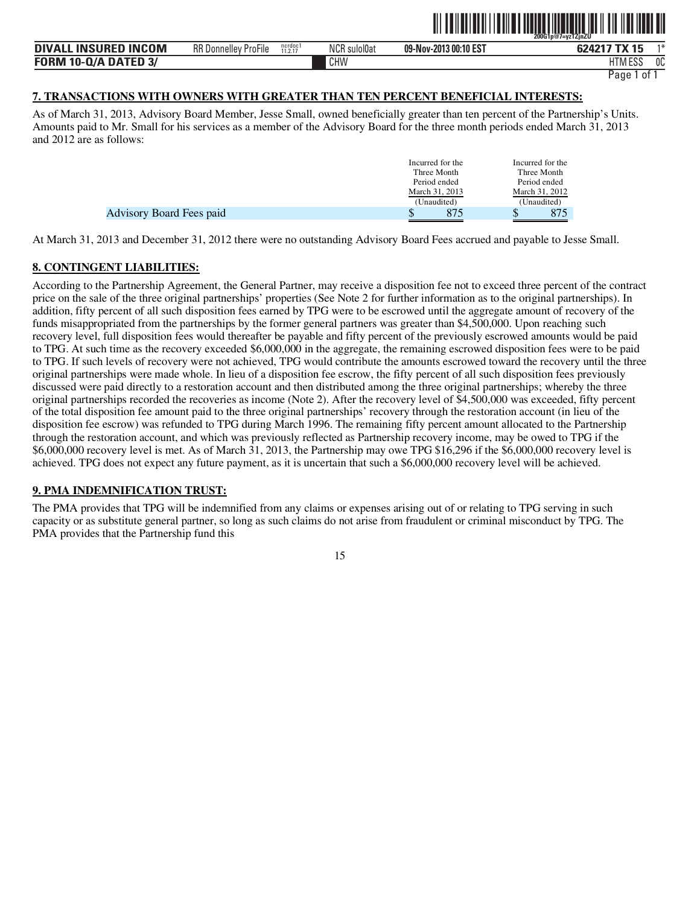|                                  |                             |                    |              |                       | 200G1p@7=vzTZinZU    |
|----------------------------------|-----------------------------|--------------------|--------------|-----------------------|----------------------|
| . Insured Incom<br><b>DIVALL</b> | <b>RR Donnelley ProFile</b> | ncrdoc1<br>11.2.17 | NCR sulol0at | 09-Nov-2013 00:10 EST | $1*$<br>624217 TX 15 |
| <b>FORM 10-Q/A DATED 3/</b>      |                             |                    | CHW          |                       | 0C<br><b>HTM ESS</b> |
|                                  |                             |                    |              |                       | Paqe<br>0t           |

ˆ200G1p@7=yzTZjnZUŠ

#### **7. TRANSACTIONS WITH OWNERS WITH GREATER THAN TEN PERCENT BENEFICIAL INTERESTS:**

As of March 31, 2013, Advisory Board Member, Jesse Small, owned beneficially greater than ten percent of the Partnership's Units. Amounts paid to Mr. Small for his services as a member of the Advisory Board for the three month periods ended March 31, 2013 and 2012 are as follows:

|                          | Incurred for the | Incurred for the |
|--------------------------|------------------|------------------|
|                          | Three Month      | Three Month      |
|                          | Period ended     | Period ended     |
|                          | March 31, 2013   | March 31, 2012   |
|                          | (Unaudited)      | (Unaudited)      |
| Advisory Board Fees paid | 875              | ۰D               |

At March 31, 2013 and December 31, 2012 there were no outstanding Advisory Board Fees accrued and payable to Jesse Small.

### **8. CONTINGENT LIABILITIES:**

According to the Partnership Agreement, the General Partner, may receive a disposition fee not to exceed three percent of the contract price on the sale of the three original partnerships' properties (See Note 2 for further information as to the original partnerships). In addition, fifty percent of all such disposition fees earned by TPG were to be escrowed until the aggregate amount of recovery of the funds misappropriated from the partnerships by the former general partners was greater than \$4,500,000. Upon reaching such recovery level, full disposition fees would thereafter be payable and fifty percent of the previously escrowed amounts would be paid to TPG. At such time as the recovery exceeded \$6,000,000 in the aggregate, the remaining escrowed disposition fees were to be paid to TPG. If such levels of recovery were not achieved, TPG would contribute the amounts escrowed toward the recovery until the three original partnerships were made whole. In lieu of a disposition fee escrow, the fifty percent of all such disposition fees previously discussed were paid directly to a restoration account and then distributed among the three original partnerships; whereby the three original partnerships recorded the recoveries as income (Note 2). After the recovery level of \$4,500,000 was exceeded, fifty percent of the total disposition fee amount paid to the three original partnerships' recovery through the restoration account (in lieu of the disposition fee escrow) was refunded to TPG during March 1996. The remaining fifty percent amount allocated to the Partnership through the restoration account, and which was previously reflected as Partnership recovery income, may be owed to TPG if the \$6,000,000 recovery level is met. As of March 31, 2013, the Partnership may owe TPG \$16,296 if the \$6,000,000 recovery level is achieved. TPG does not expect any future payment, as it is uncertain that such a \$6,000,000 recovery level will be achieved.

### **9. PMA INDEMNIFICATION TRUST:**

The PMA provides that TPG will be indemnified from any claims or expenses arising out of or relating to TPG serving in such capacity or as substitute general partner, so long as such claims do not arise from fraudulent or criminal misconduct by TPG. The PMA provides that the Partnership fund this

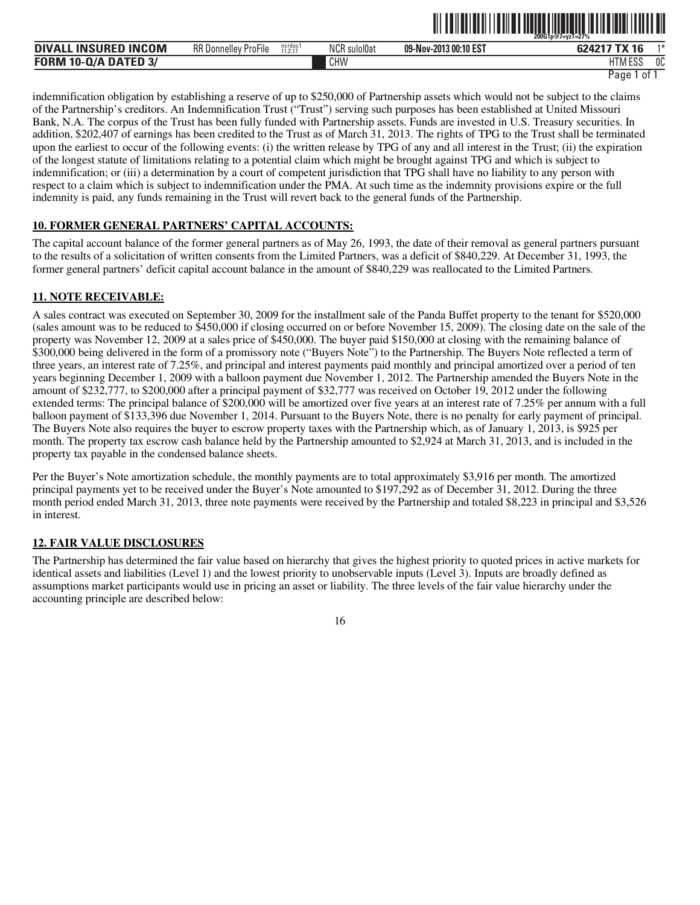| <u> 111   111   112   113   113   113   113   124   125   126   127   128   129   120   120   120   120   120   1</u> |                  |
|-----------------------------------------------------------------------------------------------------------------------|------------------|
|                                                                                                                       | 200G1p@7=vzT=27% |

| <b>INCOM</b><br><b>INSURED</b><br><b>DIVAL</b> | <b>RR Donnelley ProFile</b> | ncrdoc1<br>11.2.17 | <b>NCR</b><br>sulol0at<br>וו ⊿י | 09-Nov-2013 00:10 EST | 624217 TX 16          | $1*$ |
|------------------------------------------------|-----------------------------|--------------------|---------------------------------|-----------------------|-----------------------|------|
| <b>FORM</b><br>10-Q/A DATED 3/                 |                             |                    | CHW                             |                       | <b>FOC</b><br>IIM ESS | 0C   |
|                                                |                             |                    |                                 |                       |                       |      |

indemnification obligation by establishing a reserve of up to \$250,000 of Partnership assets which would not be subject to the claims of the Partnership's creditors. An Indemnification Trust ("Trust") serving such purposes has been established at United Missouri Bank, N.A. The corpus of the Trust has been fully funded with Partnership assets. Funds are invested in U.S. Treasury securities. In addition, \$202,407 of earnings has been credited to the Trust as of March 31, 2013. The rights of TPG to the Trust shall be terminated upon the earliest to occur of the following events: (i) the written release by TPG of any and all interest in the Trust; (ii) the expiration of the longest statute of limitations relating to a potential claim which might be brought against TPG and which is subject to indemnification; or (iii) a determination by a court of competent jurisdiction that TPG shall have no liability to any person with respect to a claim which is subject to indemnification under the PMA. At such time as the indemnity provisions expire or the full indemnity is paid, any funds remaining in the Trust will revert back to the general funds of the Partnership.

### **10. FORMER GENERAL PARTNERS' CAPITAL ACCOUNTS:**

The capital account balance of the former general partners as of May 26, 1993, the date of their removal as general partners pursuant to the results of a solicitation of written consents from the Limited Partners, was a deficit of \$840,229. At December 31, 1993, the former general partners' deficit capital account balance in the amount of \$840,229 was reallocated to the Limited Partners.

### **11. NOTE RECEIVABLE:**

A sales contract was executed on September 30, 2009 for the installment sale of the Panda Buffet property to the tenant for \$520,000 (sales amount was to be reduced to \$450,000 if closing occurred on or before November 15, 2009). The closing date on the sale of the property was November 12, 2009 at a sales price of \$450,000. The buyer paid \$150,000 at closing with the remaining balance of \$300,000 being delivered in the form of a promissory note ("Buyers Note") to the Partnership. The Buyers Note reflected a term of three years, an interest rate of 7.25%, and principal and interest payments paid monthly and principal amortized over a period of ten years beginning December 1, 2009 with a balloon payment due November 1, 2012. The Partnership amended the Buyers Note in the amount of \$232,777, to \$200,000 after a principal payment of \$32,777 was received on October 19, 2012 under the following extended terms: The principal balance of \$200,000 will be amortized over five years at an interest rate of 7.25% per annum with a full balloon payment of \$133,396 due November 1, 2014. Pursuant to the Buyers Note, there is no penalty for early payment of principal. The Buyers Note also requires the buyer to escrow property taxes with the Partnership which, as of January 1, 2013, is \$925 per month. The property tax escrow cash balance held by the Partnership amounted to \$2,924 at March 31, 2013, and is included in the property tax payable in the condensed balance sheets.

Per the Buyer's Note amortization schedule, the monthly payments are to total approximately \$3,916 per month. The amortized principal payments yet to be received under the Buyer's Note amounted to \$197,292 as of December 31, 2012. During the three month period ended March 31, 2013, three note payments were received by the Partnership and totaled \$8,223 in principal and \$3,526 in interest.

### **12. FAIR VALUE DISCLOSURES**

The Partnership has determined the fair value based on hierarchy that gives the highest priority to quoted prices in active markets for identical assets and liabilities (Level 1) and the lowest priority to unobservable inputs (Level 3). Inputs are broadly defined as assumptions market participants would use in pricing an asset or liability. The three levels of the fair value hierarchy under the accounting principle are described below: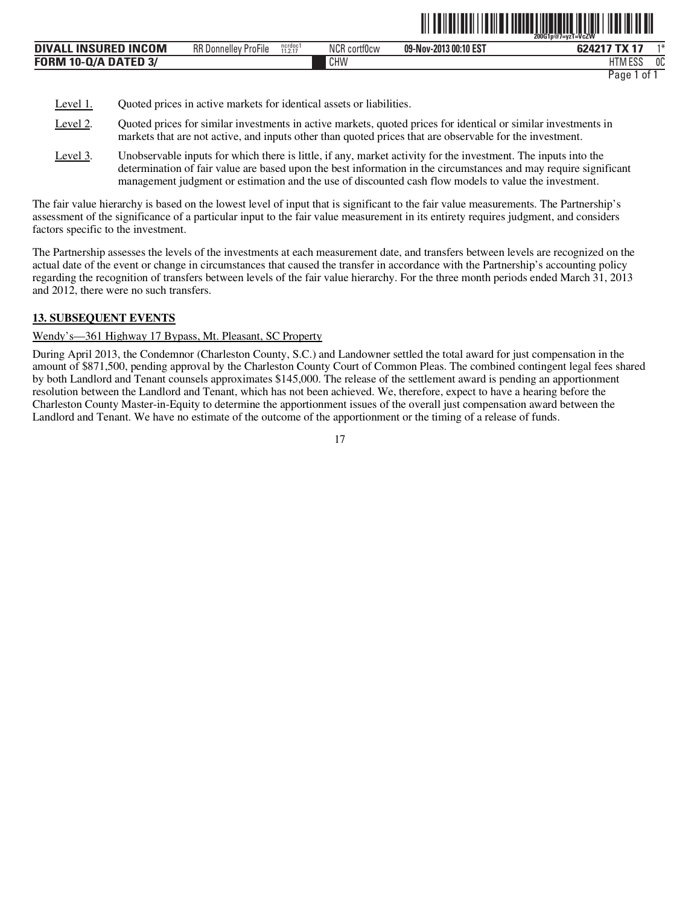|                                                 |                                       |                    |              |                       | $200G1p@7=vzT=VcZW$<br>.   |                |
|-------------------------------------------------|---------------------------------------|--------------------|--------------|-----------------------|----------------------------|----------------|
| <b>INSURED</b><br><b>INCOM</b><br><b>DIVALL</b> | $-$<br><b>RR</b> Donnelley<br>ProFile | ncrdoc1<br>11.2.17 | NCR cortf0cw | 09-Nov-2013 00:10 EST | 624217 TX 17               | $4 - 3L$       |
| <b>FORM 10-Q/A</b><br><b>DATED 3/</b>           |                                       |                    | CHW          |                       | <b>ILTM FOO</b><br>HIM ESS | 0 <sup>C</sup> |

™™™™™™™™™™™™™™™™™™™™™™™™™™

- Level 1. Quoted prices in active markets for identical assets or liabilities.
- Level 2. Quoted prices for similar investments in active markets, quoted prices for identical or similar investments in markets that are not active, and inputs other than quoted prices that are observable for the investment.
- Level 3. Unobservable inputs for which there is little, if any, market activity for the investment. The inputs into the determination of fair value are based upon the best information in the circumstances and may require significant management judgment or estimation and the use of discounted cash flow models to value the investment.

The fair value hierarchy is based on the lowest level of input that is significant to the fair value measurements. The Partnership's assessment of the significance of a particular input to the fair value measurement in its entirety requires judgment, and considers factors specific to the investment.

The Partnership assesses the levels of the investments at each measurement date, and transfers between levels are recognized on the actual date of the event or change in circumstances that caused the transfer in accordance with the Partnership's accounting policy regarding the recognition of transfers between levels of the fair value hierarchy. For the three month periods ended March 31, 2013 and 2012, there were no such transfers.

### **13. SUBSEQUENT EVENTS**

### Wendy's—361 Highway 17 Bypass, Mt. Pleasant, SC Property

During April 2013, the Condemnor (Charleston County, S.C.) and Landowner settled the total award for just compensation in the amount of \$871,500, pending approval by the Charleston County Court of Common Pleas. The combined contingent legal fees shared by both Landlord and Tenant counsels approximates \$145,000. The release of the settlement award is pending an apportionment resolution between the Landlord and Tenant, which has not been achieved. We, therefore, expect to have a hearing before the Charleston County Master-in-Equity to determine the apportionment issues of the overall just compensation award between the Landlord and Tenant. We have no estimate of the outcome of the apportionment or the timing of a release of funds.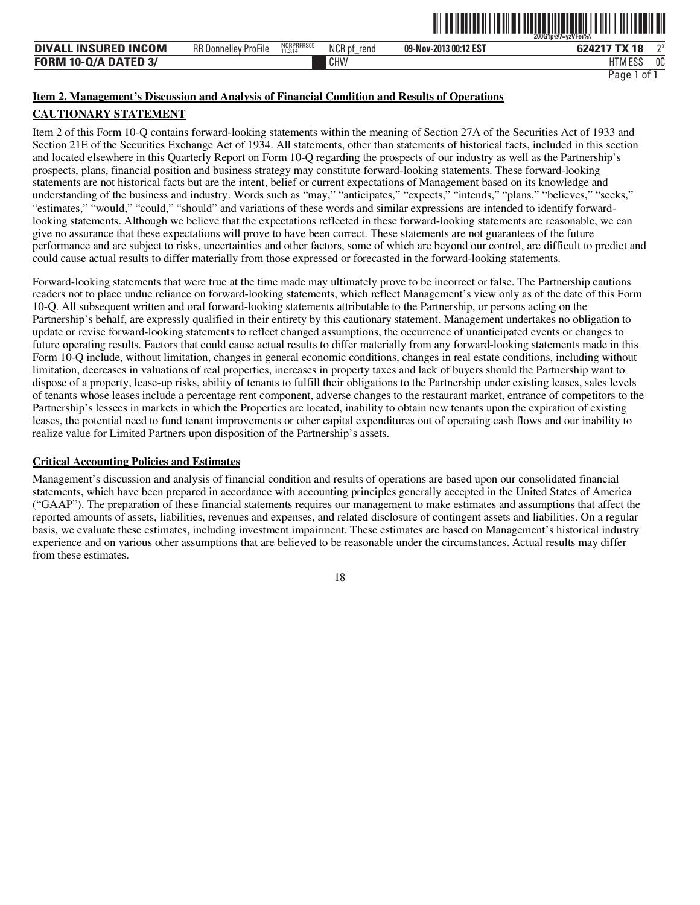|                                       |                             |                       |                |                       | $200$ G1p@7=vzVFei%   |      |
|---------------------------------------|-----------------------------|-----------------------|----------------|-----------------------|-----------------------|------|
| . INSURED INCOM<br><b>DIVALL</b>      | <b>RR Donnelley ProFile</b> | NCRPRFRS05<br>11.3.14 | NCR pf<br>rend | 09-Nov-2013 00:12 EST | 624217 TX 18          | $n*$ |
| <b>FORM 10-Q/A</b><br><b>DATED 3/</b> |                             |                       | CHW            |                       | $F \cap C$<br>HIM ESS | 0C   |

<u>oli od potenci i poznati s vrsta s potencija u potencija u potencija u potencija u potencija u potencija u po</u>

# **Item 2. Management's Discussion and Analysis of Financial Condition and Results of Operations**

### **CAUTIONARY STATEMENT**

Item 2 of this Form 10-Q contains forward-looking statements within the meaning of Section 27A of the Securities Act of 1933 and Section 21E of the Securities Exchange Act of 1934. All statements, other than statements of historical facts, included in this section and located elsewhere in this Quarterly Report on Form 10-Q regarding the prospects of our industry as well as the Partnership's prospects, plans, financial position and business strategy may constitute forward-looking statements. These forward-looking statements are not historical facts but are the intent, belief or current expectations of Management based on its knowledge and understanding of the business and industry. Words such as "may," "anticipates," "expects," "intends," "plans," "believes," "seeks," "estimates," "would," "could," "should" and variations of these words and similar expressions are intended to identify forwardlooking statements. Although we believe that the expectations reflected in these forward-looking statements are reasonable, we can give no assurance that these expectations will prove to have been correct. These statements are not guarantees of the future performance and are subject to risks, uncertainties and other factors, some of which are beyond our control, are difficult to predict and could cause actual results to differ materially from those expressed or forecasted in the forward-looking statements.

Forward-looking statements that were true at the time made may ultimately prove to be incorrect or false. The Partnership cautions readers not to place undue reliance on forward-looking statements, which reflect Management's view only as of the date of this Form 10-Q. All subsequent written and oral forward-looking statements attributable to the Partnership, or persons acting on the Partnership's behalf, are expressly qualified in their entirety by this cautionary statement. Management undertakes no obligation to update or revise forward-looking statements to reflect changed assumptions, the occurrence of unanticipated events or changes to future operating results. Factors that could cause actual results to differ materially from any forward-looking statements made in this Form 10-Q include, without limitation, changes in general economic conditions, changes in real estate conditions, including without limitation, decreases in valuations of real properties, increases in property taxes and lack of buyers should the Partnership want to dispose of a property, lease-up risks, ability of tenants to fulfill their obligations to the Partnership under existing leases, sales levels of tenants whose leases include a percentage rent component, adverse changes to the restaurant market, entrance of competitors to the Partnership's lessees in markets in which the Properties are located, inability to obtain new tenants upon the expiration of existing leases, the potential need to fund tenant improvements or other capital expenditures out of operating cash flows and our inability to realize value for Limited Partners upon disposition of the Partnership's assets.

### **Critical Accounting Policies and Estimates**

Management's discussion and analysis of financial condition and results of operations are based upon our consolidated financial statements, which have been prepared in accordance with accounting principles generally accepted in the United States of America ("GAAP"). The preparation of these financial statements requires our management to make estimates and assumptions that affect the reported amounts of assets, liabilities, revenues and expenses, and related disclosure of contingent assets and liabilities. On a regular basis, we evaluate these estimates, including investment impairment. These estimates are based on Management's historical industry experience and on various other assumptions that are believed to be reasonable under the circumstances. Actual results may differ from these estimates.

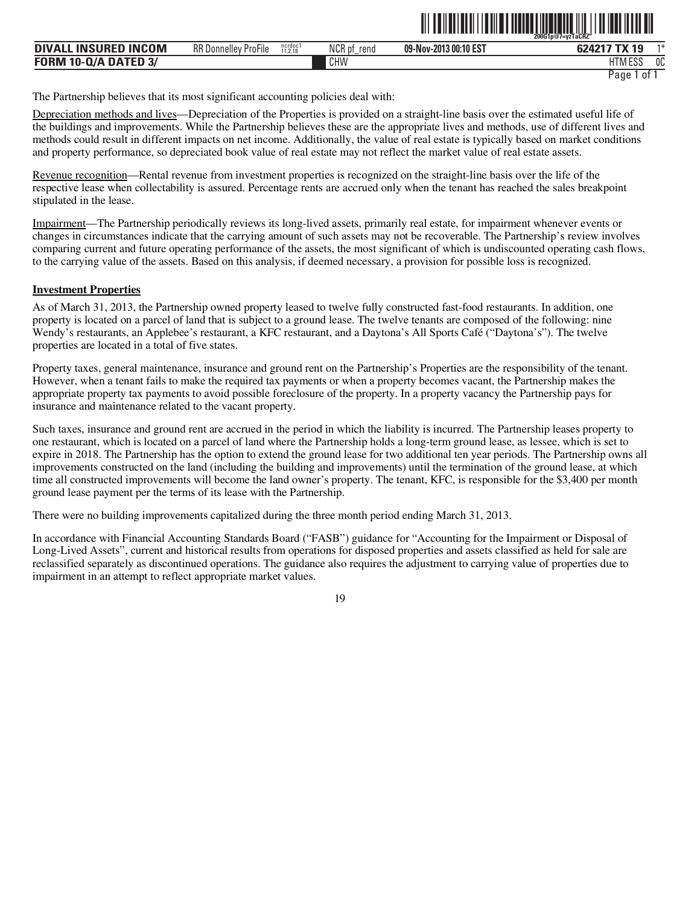| <b>DIVALL INSURED INCOM</b> | <b>RR Donnelley ProFile</b> | ncrdoc1<br>11.2.18 | NCR pf<br>rend | 09-Nov-2013 00:10 EST | $1*$<br>624217 TX 19 |
|-----------------------------|-----------------------------|--------------------|----------------|-----------------------|----------------------|
| <b>FORM 10-Q/A DATED 3/</b> |                             |                    | CHW            |                       | 0C<br><b>HTM ESS</b> |

The Partnership believes that its most significant accounting policies deal with:

Depreciation methods and lives—Depreciation of the Properties is provided on a straight-line basis over the estimated useful life of the buildings and improvements. While the Partnership believes these are the appropriate lives and methods, use of different lives and methods could result in different impacts on net income. Additionally, the value of real estate is typically based on market conditions and property performance, so depreciated book value of real estate may not reflect the market value of real estate assets.

Revenue recognition—Rental revenue from investment properties is recognized on the straight-line basis over the life of the respective lease when collectability is assured. Percentage rents are accrued only when the tenant has reached the sales breakpoint stipulated in the lease.

Impairment—The Partnership periodically reviews its long-lived assets, primarily real estate, for impairment whenever events or changes in circumstances indicate that the carrying amount of such assets may not be recoverable. The Partnership's review involves comparing current and future operating performance of the assets, the most significant of which is undiscounted operating cash flows, to the carrying value of the assets. Based on this analysis, if deemed necessary, a provision for possible loss is recognized.

### **Investment Properties**

As of March 31, 2013, the Partnership owned property leased to twelve fully constructed fast-food restaurants. In addition, one property is located on a parcel of land that is subject to a ground lease. The twelve tenants are composed of the following: nine Wendy's restaurants, an Applebee's restaurant, a KFC restaurant, and a Daytona's All Sports Café ("Daytona's"). The twelve properties are located in a total of five states.

Property taxes, general maintenance, insurance and ground rent on the Partnership's Properties are the responsibility of the tenant. However, when a tenant fails to make the required tax payments or when a property becomes vacant, the Partnership makes the appropriate property tax payments to avoid possible foreclosure of the property. In a property vacancy the Partnership pays for insurance and maintenance related to the vacant property.

Such taxes, insurance and ground rent are accrued in the period in which the liability is incurred. The Partnership leases property to one restaurant, which is located on a parcel of land where the Partnership holds a long-term ground lease, as lessee, which is set to expire in 2018. The Partnership has the option to extend the ground lease for two additional ten year periods. The Partnership owns all improvements constructed on the land (including the building and improvements) until the termination of the ground lease, at which time all constructed improvements will become the land owner's property. The tenant, KFC, is responsible for the \$3,400 per month ground lease payment per the terms of its lease with the Partnership.

There were no building improvements capitalized during the three month period ending March 31, 2013.

In accordance with Financial Accounting Standards Board ("FASB") guidance for "Accounting for the Impairment or Disposal of Long-Lived Assets", current and historical results from operations for disposed properties and assets classified as held for sale are reclassified separately as discontinued operations. The guidance also requires the adjustment to carrying value of properties due to impairment in an attempt to reflect appropriate market values.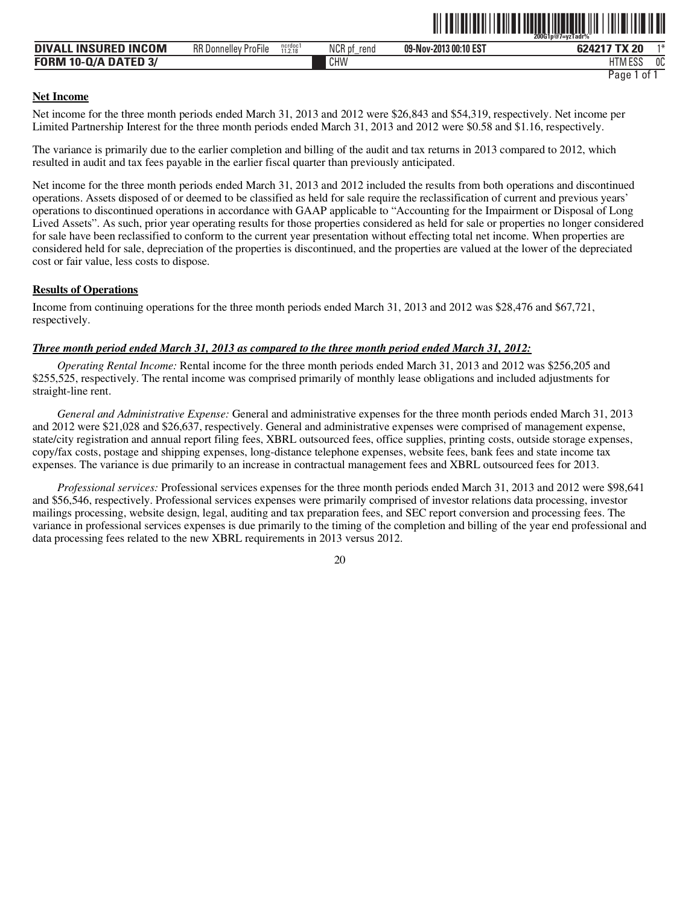|                             |                             |                                |                | ---------             | $200$ G1p@7=vzTadr% |      |
|-----------------------------|-----------------------------|--------------------------------|----------------|-----------------------|---------------------|------|
| <b>DIVALL INSURED INCOM</b> | <b>RR Donnelley ProFile</b> | ncrdoc <sup>1</sup><br>11.2.18 | NCR pf<br>rend | 09-Nov-2013 00:10 EST | 624217 TX 20        | $1*$ |
| <b>FORM 10-Q/A DATED 3/</b> |                             |                                | CHW            |                       | <b>HTM ESS</b>      | 0C   |
|                             |                             |                                |                |                       | Page<br>0t          |      |

ˆ200G1p@7=yzTadr%ÄŠ

#### **Net Income**

Net income for the three month periods ended March 31, 2013 and 2012 were \$26,843 and \$54,319, respectively. Net income per Limited Partnership Interest for the three month periods ended March 31, 2013 and 2012 were \$0.58 and \$1.16, respectively.

The variance is primarily due to the earlier completion and billing of the audit and tax returns in 2013 compared to 2012, which resulted in audit and tax fees payable in the earlier fiscal quarter than previously anticipated.

Net income for the three month periods ended March 31, 2013 and 2012 included the results from both operations and discontinued operations. Assets disposed of or deemed to be classified as held for sale require the reclassification of current and previous years' operations to discontinued operations in accordance with GAAP applicable to "Accounting for the Impairment or Disposal of Long Lived Assets". As such, prior year operating results for those properties considered as held for sale or properties no longer considered for sale have been reclassified to conform to the current year presentation without effecting total net income. When properties are considered held for sale, depreciation of the properties is discontinued, and the properties are valued at the lower of the depreciated cost or fair value, less costs to dispose.

#### **Results of Operations**

Income from continuing operations for the three month periods ended March 31, 2013 and 2012 was \$28,476 and \$67,721, respectively.

#### *Three month period ended March 31, 2013 as compared to the three month period ended March 31, 2012:*

*Operating Rental Income:* Rental income for the three month periods ended March 31, 2013 and 2012 was \$256,205 and \$255,525, respectively. The rental income was comprised primarily of monthly lease obligations and included adjustments for straight-line rent.

*General and Administrative Expense:* General and administrative expenses for the three month periods ended March 31, 2013 and 2012 were \$21,028 and \$26,637, respectively. General and administrative expenses were comprised of management expense, state/city registration and annual report filing fees, XBRL outsourced fees, office supplies, printing costs, outside storage expenses, copy/fax costs, postage and shipping expenses, long-distance telephone expenses, website fees, bank fees and state income tax expenses. The variance is due primarily to an increase in contractual management fees and XBRL outsourced fees for 2013.

*Professional services:* Professional services expenses for the three month periods ended March 31, 2013 and 2012 were \$98,641 and \$56,546, respectively. Professional services expenses were primarily comprised of investor relations data processing, investor mailings processing, website design, legal, auditing and tax preparation fees, and SEC report conversion and processing fees. The variance in professional services expenses is due primarily to the timing of the completion and billing of the year end professional and data processing fees related to the new XBRL requirements in 2013 versus 2012.

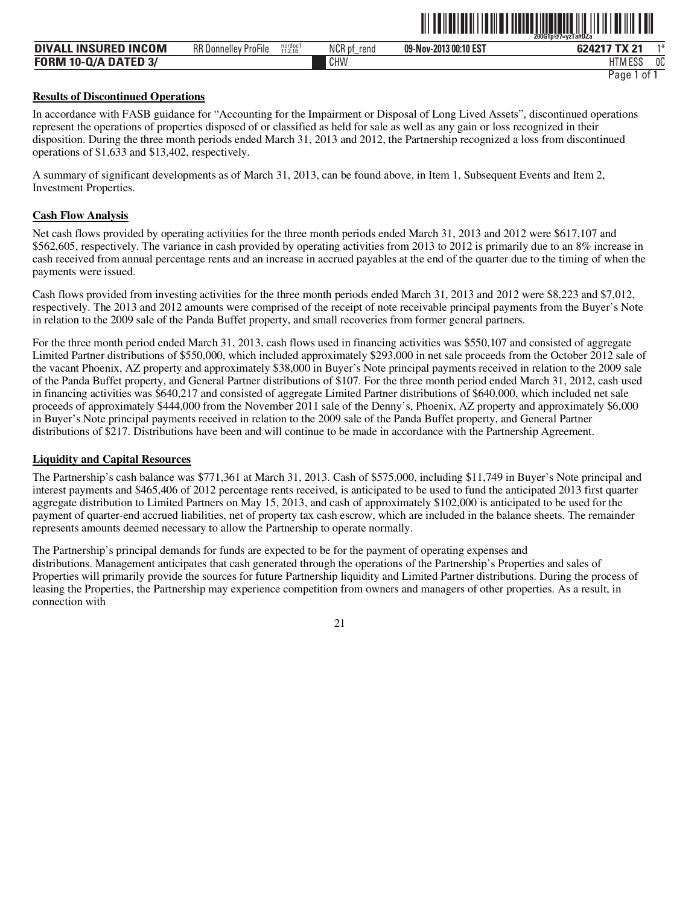|                                                |                             |                    |                | -------------------------------- | - 200G1p@7=vzTa#DZa - - - - - - - - - - - - - - - |  |
|------------------------------------------------|-----------------------------|--------------------|----------------|----------------------------------|---------------------------------------------------|--|
| <b>INCOM</b><br><b>INSURED</b><br><b>DIVAL</b> | <b>RR Donnelley ProFile</b> | ncrdoc1<br>11.2.18 | NCR pf<br>rend | 09-Nov-2013 00:10 EST            | $1*$<br>624217 TX 21                              |  |
| <b>FORM 10-Q/A DATED 3/</b>                    |                             |                    | CHW            |                                  | $\cdot$ ree<br>0C<br><b>IITN</b><br>טס ייי ב      |  |
|                                                |                             |                    |                |                                  | Page<br>01                                        |  |

ˆ200G1p@7=yzTa#DZaŠ

#### **Results of Discontinued Operations**

In accordance with FASB guidance for "Accounting for the Impairment or Disposal of Long Lived Assets", discontinued operations represent the operations of properties disposed of or classified as held for sale as well as any gain or loss recognized in their disposition. During the three month periods ended March 31, 2013 and 2012, the Partnership recognized a loss from discontinued operations of \$1,633 and \$13,402, respectively.

A summary of significant developments as of March 31, 2013, can be found above, in Item 1, Subsequent Events and Item 2, Investment Properties.

### **Cash Flow Analysis**

Net cash flows provided by operating activities for the three month periods ended March 31, 2013 and 2012 were \$617,107 and \$562,605, respectively. The variance in cash provided by operating activities from 2013 to 2012 is primarily due to an 8% increase in cash received from annual percentage rents and an increase in accrued payables at the end of the quarter due to the timing of when the payments were issued.

Cash flows provided from investing activities for the three month periods ended March 31, 2013 and 2012 were \$8,223 and \$7,012, respectively. The 2013 and 2012 amounts were comprised of the receipt of note receivable principal payments from the Buyer's Note in relation to the 2009 sale of the Panda Buffet property, and small recoveries from former general partners.

For the three month period ended March 31, 2013, cash flows used in financing activities was \$550,107 and consisted of aggregate Limited Partner distributions of \$550,000, which included approximately \$293,000 in net sale proceeds from the October 2012 sale of the vacant Phoenix, AZ property and approximately \$38,000 in Buyer's Note principal payments received in relation to the 2009 sale of the Panda Buffet property, and General Partner distributions of \$107. For the three month period ended March 31, 2012, cash used in financing activities was \$640,217 and consisted of aggregate Limited Partner distributions of \$640,000, which included net sale proceeds of approximately \$444,000 from the November 2011 sale of the Denny's, Phoenix, AZ property and approximately \$6,000 in Buyer's Note principal payments received in relation to the 2009 sale of the Panda Buffet property, and General Partner distributions of \$217. Distributions have been and will continue to be made in accordance with the Partnership Agreement.

### **Liquidity and Capital Resources**

The Partnership's cash balance was \$771,361 at March 31, 2013. Cash of \$575,000, including \$11,749 in Buyer's Note principal and interest payments and \$465,406 of 2012 percentage rents received, is anticipated to be used to fund the anticipated 2013 first quarter aggregate distribution to Limited Partners on May 15, 2013, and cash of approximately \$102,000 is anticipated to be used for the payment of quarter-end accrued liabilities, net of property tax cash escrow, which are included in the balance sheets. The remainder represents amounts deemed necessary to allow the Partnership to operate normally.

The Partnership's principal demands for funds are expected to be for the payment of operating expenses and distributions. Management anticipates that cash generated through the operations of the Partnership's Properties and sales of Properties will primarily provide the sources for future Partnership liquidity and Limited Partner distributions. During the process of leasing the Properties, the Partnership may experience competition from owners and managers of other properties. As a result, in connection with

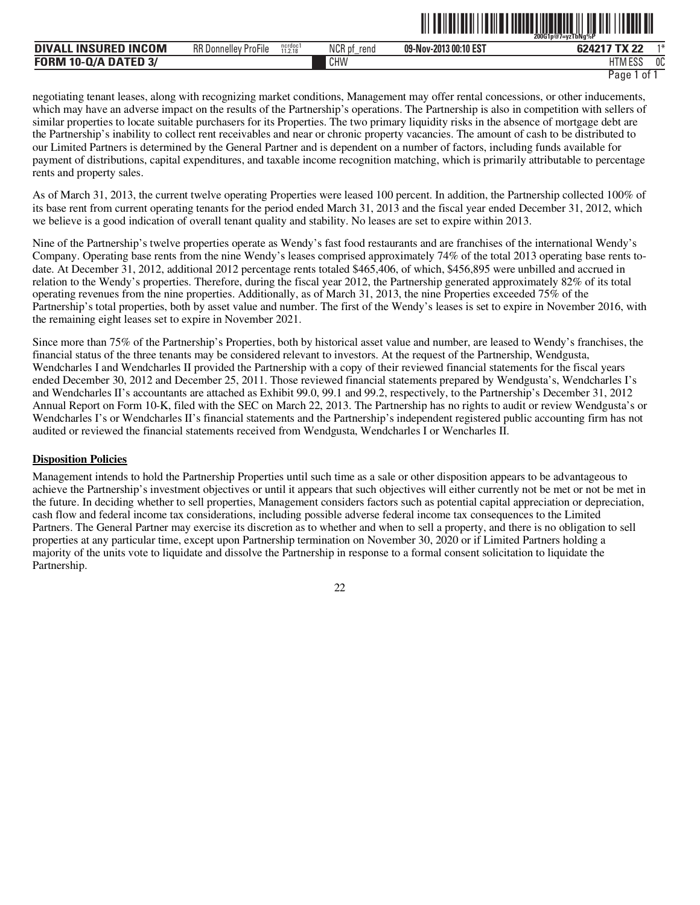|                             |                             |                    |                |                       | $200G1p@7 = yzTbNq%$ |
|-----------------------------|-----------------------------|--------------------|----------------|-----------------------|----------------------|
| <b>DIVALL INSURED INCOM</b> | <b>RR Donnelley ProFile</b> | ncrdoc1<br>11.2.18 | NCR pf<br>rend | 09-Nov-2013 00:10 EST | $1*$<br>624217 TX 22 |
| <b>FORM 10-Q/A DATED 3/</b> |                             |                    | CHW            |                       | <b>HTM ESS</b><br>0C |

negotiating tenant leases, along with recognizing market conditions, Management may offer rental concessions, or other inducements, which may have an adverse impact on the results of the Partnership's operations. The Partnership is also in competition with sellers of similar properties to locate suitable purchasers for its Properties. The two primary liquidity risks in the absence of mortgage debt are the Partnership's inability to collect rent receivables and near or chronic property vacancies. The amount of cash to be distributed to our Limited Partners is determined by the General Partner and is dependent on a number of factors, including funds available for payment of distributions, capital expenditures, and taxable income recognition matching, which is primarily attributable to percentage rents and property sales.

As of March 31, 2013, the current twelve operating Properties were leased 100 percent. In addition, the Partnership collected 100% of its base rent from current operating tenants for the period ended March 31, 2013 and the fiscal year ended December 31, 2012, which we believe is a good indication of overall tenant quality and stability. No leases are set to expire within 2013.

Nine of the Partnership's twelve properties operate as Wendy's fast food restaurants and are franchises of the international Wendy's Company. Operating base rents from the nine Wendy's leases comprised approximately 74% of the total 2013 operating base rents todate. At December 31, 2012, additional 2012 percentage rents totaled \$465,406, of which, \$456,895 were unbilled and accrued in relation to the Wendy's properties. Therefore, during the fiscal year 2012, the Partnership generated approximately 82% of its total operating revenues from the nine properties. Additionally, as of March 31, 2013, the nine Properties exceeded 75% of the Partnership's total properties, both by asset value and number. The first of the Wendy's leases is set to expire in November 2016, with the remaining eight leases set to expire in November 2021.

Since more than 75% of the Partnership's Properties, both by historical asset value and number, are leased to Wendy's franchises, the financial status of the three tenants may be considered relevant to investors. At the request of the Partnership, Wendgusta, Wendcharles I and Wendcharles II provided the Partnership with a copy of their reviewed financial statements for the fiscal years ended December 30, 2012 and December 25, 2011. Those reviewed financial statements prepared by Wendgusta's, Wendcharles I's and Wendcharles II's accountants are attached as Exhibit 99.0, 99.1 and 99.2, respectively, to the Partnership's December 31, 2012 Annual Report on Form 10-K, filed with the SEC on March 22, 2013. The Partnership has no rights to audit or review Wendgusta's or Wendcharles I's or Wendcharles II's financial statements and the Partnership's independent registered public accounting firm has not audited or reviewed the financial statements received from Wendgusta, Wendcharles I or Wencharles II.

### **Disposition Policies**

Management intends to hold the Partnership Properties until such time as a sale or other disposition appears to be advantageous to achieve the Partnership's investment objectives or until it appears that such objectives will either currently not be met or not be met in the future. In deciding whether to sell properties, Management considers factors such as potential capital appreciation or depreciation, cash flow and federal income tax considerations, including possible adverse federal income tax consequences to the Limited Partners. The General Partner may exercise its discretion as to whether and when to sell a property, and there is no obligation to sell properties at any particular time, except upon Partnership termination on November 30, 2020 or if Limited Partners holding a majority of the units vote to liquidate and dissolve the Partnership in response to a formal consent solicitation to liquidate the Partnership.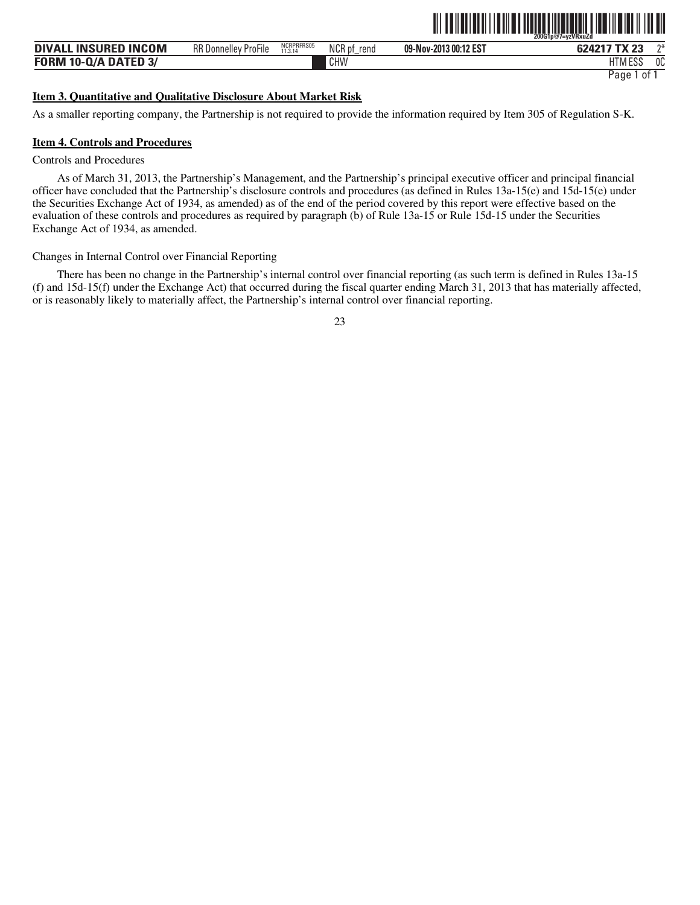|                             |                             |                       |                |                       | 200G1p@7=vzVRxuZd |    |
|-----------------------------|-----------------------------|-----------------------|----------------|-----------------------|-------------------|----|
| <b>DIVALL INSURED INCOM</b> | <b>RR Donnelley ProFile</b> | NCRPRFRS05<br>11.3.14 | NCR pf<br>rend | 09-Nov-2013 00:12 EST | 624217 TX 23      | ግ* |
| <b>FORM 10-Q/A DATED 3/</b> |                             |                       | CHW            |                       | <b>HTM ESS</b>    | 0C |
|                             |                             |                       |                |                       | Page<br>0t        |    |

<u>oli od udiljeni i udiljeni udiljeni u udiljeni u udiljeni u udiljeni u udiljeni u udiljeni u udiljeni u udilje</u>

#### **Item 3. Quantitative and Qualitative Disclosure About Market Risk**

As a smaller reporting company, the Partnership is not required to provide the information required by Item 305 of Regulation S-K.

### **Item 4. Controls and Procedures**

Controls and Procedures

As of March 31, 2013, the Partnership's Management, and the Partnership's principal executive officer and principal financial officer have concluded that the Partnership's disclosure controls and procedures (as defined in Rules 13a-15(e) and 15d-15(e) under the Securities Exchange Act of 1934, as amended) as of the end of the period covered by this report were effective based on the evaluation of these controls and procedures as required by paragraph (b) of Rule 13a-15 or Rule 15d-15 under the Securities Exchange Act of 1934, as amended.

#### Changes in Internal Control over Financial Reporting

There has been no change in the Partnership's internal control over financial reporting (as such term is defined in Rules 13a-15 (f) and 15d-15(f) under the Exchange Act) that occurred during the fiscal quarter ending March 31, 2013 that has materially affected, or is reasonably likely to materially affect, the Partnership's internal control over financial reporting.

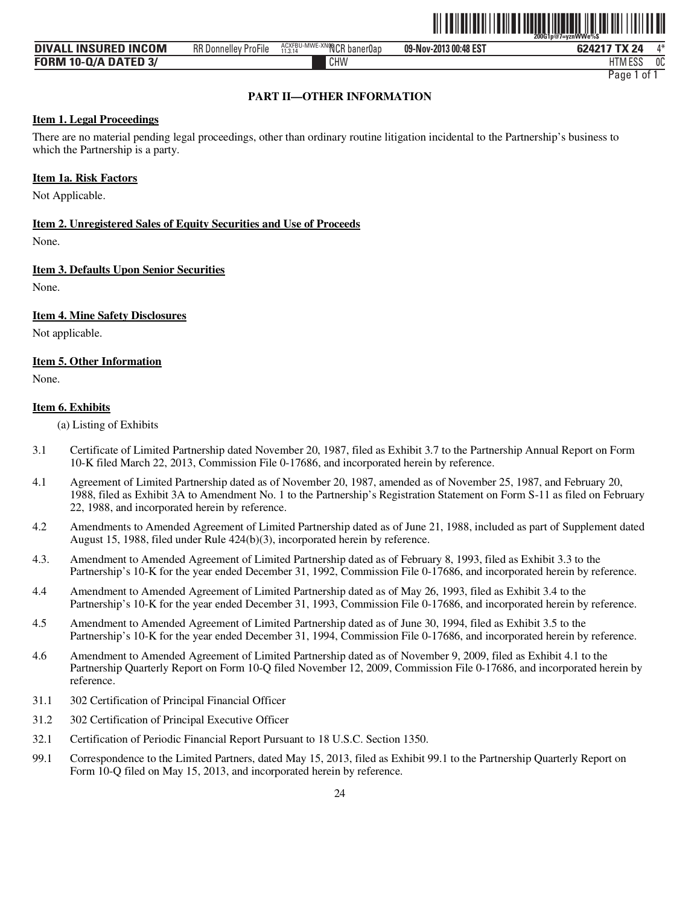|                                  |                                                   |                                       |                       | 200G1p@7=vznWWe%\$    |    |
|----------------------------------|---------------------------------------------------|---------------------------------------|-----------------------|-----------------------|----|
| DIVALL INSURED<br><b>INCOM</b>   | $- \cdot \cdot$<br><b>RR</b> Donnelley<br>ProFile | ACXFBU-MWE-XNOWCR baner0ap<br>11.3.14 | 09-Nov-2013 00:48 EST | 624217 TX 24          | Л¥ |
| <b>FORM 10-Q/A</b><br>. DATED 3/ |                                                   | CHW                                   |                       | 1.500<br>LITE.<br>LUL | 0C |

ˆ200G1p@7=yznWWe%\$Š **200G1p@7=yznWWe%\$**

### **PART II—OTHER INFORMATION**

#### **Item 1. Legal Proceedings**

There are no material pending legal proceedings, other than ordinary routine litigation incidental to the Partnership's business to which the Partnership is a party.

### **Item 1a. Risk Factors**

Not Applicable.

### **Item 2. Unregistered Sales of Equity Securities and Use of Proceeds**

None.

### **Item 3. Defaults Upon Senior Securities**

None.

### **Item 4. Mine Safety Disclosures**

Not applicable.

### **Item 5. Other Information**

None.

#### **Item 6. Exhibits**

(a) Listing of Exhibits

- 3.1 Certificate of Limited Partnership dated November 20, 1987, filed as Exhibit 3.7 to the Partnership Annual Report on Form 10-K filed March 22, 2013, Commission File 0-17686, and incorporated herein by reference.
- 4.1 Agreement of Limited Partnership dated as of November 20, 1987, amended as of November 25, 1987, and February 20, 1988, filed as Exhibit 3A to Amendment No. 1 to the Partnership's Registration Statement on Form S-11 as filed on February 22, 1988, and incorporated herein by reference.
- 4.2 Amendments to Amended Agreement of Limited Partnership dated as of June 21, 1988, included as part of Supplement dated August 15, 1988, filed under Rule 424(b)(3), incorporated herein by reference.
- 4.3. Amendment to Amended Agreement of Limited Partnership dated as of February 8, 1993, filed as Exhibit 3.3 to the Partnership's 10-K for the year ended December 31, 1992, Commission File 0-17686, and incorporated herein by reference.
- 4.4 Amendment to Amended Agreement of Limited Partnership dated as of May 26, 1993, filed as Exhibit 3.4 to the Partnership's 10-K for the year ended December 31, 1993, Commission File 0-17686, and incorporated herein by reference.
- 4.5 Amendment to Amended Agreement of Limited Partnership dated as of June 30, 1994, filed as Exhibit 3.5 to the Partnership's 10-K for the year ended December 31, 1994, Commission File 0-17686, and incorporated herein by reference.
- 4.6 Amendment to Amended Agreement of Limited Partnership dated as of November 9, 2009, filed as Exhibit 4.1 to the Partnership Quarterly Report on Form 10-Q filed November 12, 2009, Commission File 0-17686, and incorporated herein by reference.
- 31.1 302 Certification of Principal Financial Officer
- 31.2 302 Certification of Principal Executive Officer
- 32.1 Certification of Periodic Financial Report Pursuant to 18 U.S.C. Section 1350.
- 99.1 Correspondence to the Limited Partners, dated May 15, 2013, filed as Exhibit 99.1 to the Partnership Quarterly Report on Form 10-Q filed on May 15, 2013, and incorporated herein by reference.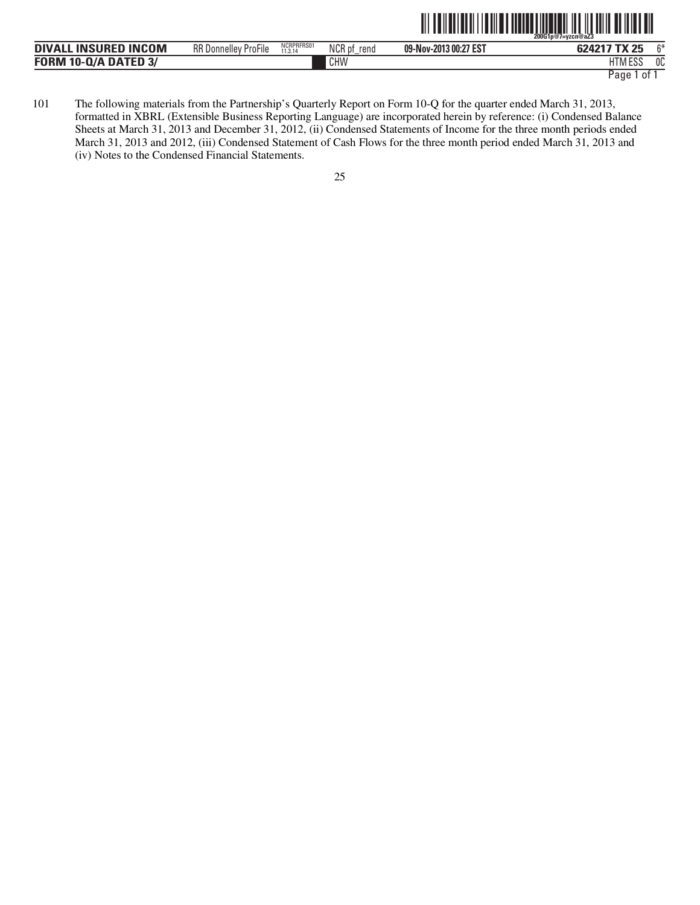|                                  |                             |                       |                |                       | $200$ G1p@7=vzcn@aZ3 |    |
|----------------------------------|-----------------------------|-----------------------|----------------|-----------------------|----------------------|----|
| . INSURED INCOM<br><b>DIVALL</b> | <b>RR Donnelley ProFile</b> | NCRPRFRS01<br>11.3.14 | NCR pf<br>rend | 09-Nov-2013 00:27 EST | 624217 TX 25         | C* |
| <b>FORM 10-Q/A DATED 3/</b>      |                             |                       | CHW            |                       | <b>HTM ESS</b>       | 0C |
|                                  |                             |                       |                |                       | Page<br>0t           |    |

**∂** 100 € 100 € 100 € 100 € 100 € 100 € 100 € 100 € 100 € 100 € 100 € 100 € 100 € 100 € 100 € 100 € 100 € 100 € 100 €

101 The following materials from the Partnership's Quarterly Report on Form 10-Q for the quarter ended March 31, 2013, formatted in XBRL (Extensible Business Reporting Language) are incorporated herein by reference: (i) Condensed Balance Sheets at March 31, 2013 and December 31, 2012, (ii) Condensed Statements of Income for the three month periods ended March 31, 2013 and 2012, (iii) Condensed Statement of Cash Flows for the three month period ended March 31, 2013 and (iv) Notes to the Condensed Financial Statements.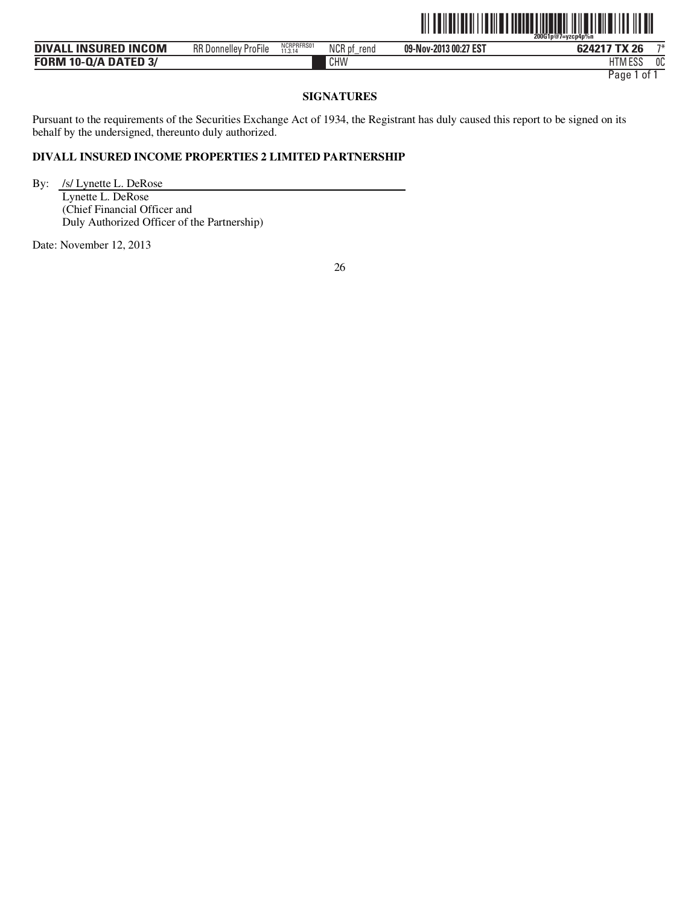

| CHW | <b>HIMESS</b> |
|-----|---------------|
|     | Page 1 of 1   |

### **SIGNATURES**

Pursuant to the requirements of the Securities Exchange Act of 1934, the Registrant has duly caused this report to be signed on its behalf by the undersigned, thereunto duly authorized.

### **DIVALL INSURED INCOME PROPERTIES 2 LIMITED PARTNERSHIP**

By: /s/ Lynette L. DeRose Lynette L. DeRose (Chief Financial Officer and Duly Authorized Officer of the Partnership)

Date: November 12, 2013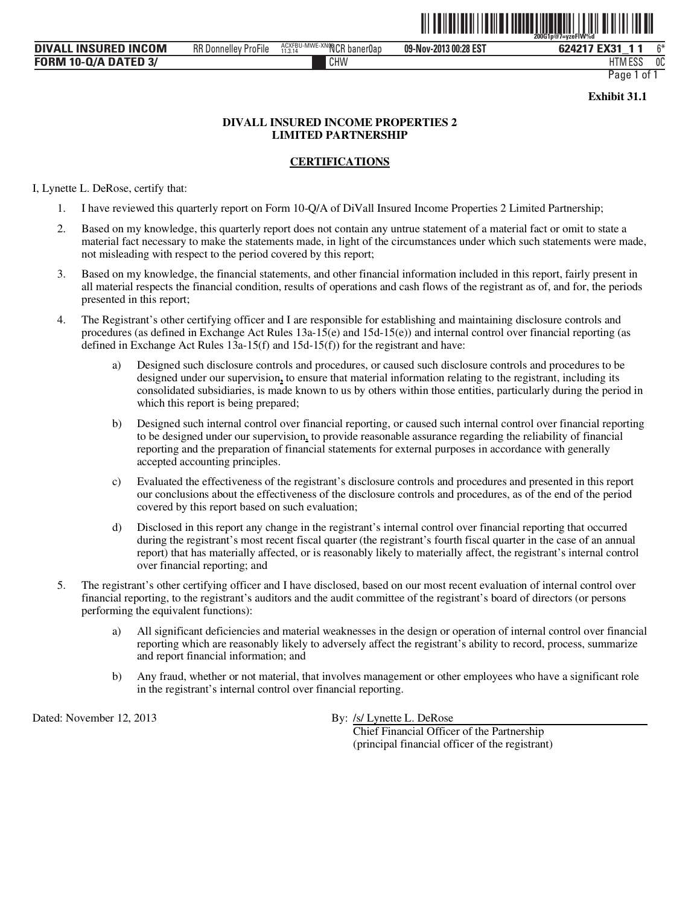

**DIVALL INSURED INCOM** BR Donnelley Profile ACXFRED-MWE-XNYNCR baner0ap 09-Nov-2013 00:28 EST 624217 EX31 **FORM 10-Q/A DATED 3/ 09-Nov-2013 00:28 EST** CHW FILM THE CHANNEL CHANNEL CHANNEL CHANNEL CHANNEL CHANNEL CHANNEL CHANNEL CHANNEL CHANNEL CHANNEL CHANNEL CHANNEL CHANNEL CHANNEL CHANNEL CHANNEL CHANNEL CHANNEL CHANNEL CHANNEL CHANNEL CHANNEL CHANNEL CHANNEL CHANNEL C RR Donnelley ProFile HTM ESS 0C ACXFBU-MWE-XN08 11.3.14

 $P$ age 1 of

**Exhibit 31.1** 

### **DIVALL INSURED INCOME PROPERTIES 2 LIMITED PARTNERSHIP**

### **CERTIFICATIONS**

I, Lynette L. DeRose, certify that:

- 1. I have reviewed this quarterly report on Form 10-Q/A of DiVall Insured Income Properties 2 Limited Partnership;
- 2. Based on my knowledge, this quarterly report does not contain any untrue statement of a material fact or omit to state a material fact necessary to make the statements made, in light of the circumstances under which such statements were made, not misleading with respect to the period covered by this report;
- 3. Based on my knowledge, the financial statements, and other financial information included in this report, fairly present in all material respects the financial condition, results of operations and cash flows of the registrant as of, and for, the periods presented in this report;
- 4. The Registrant's other certifying officer and I are responsible for establishing and maintaining disclosure controls and procedures (as defined in Exchange Act Rules 13a-15(e) and 15d-15(e)) and internal control over financial reporting (as defined in Exchange Act Rules 13a-15(f) and 15d-15(f)) for the registrant and have:
	- a) Designed such disclosure controls and procedures, or caused such disclosure controls and procedures to be designed under our supervision**,** to ensure that material information relating to the registrant, including its consolidated subsidiaries, is made known to us by others within those entities, particularly during the period in which this report is being prepared;
	- b) Designed such internal control over financial reporting, or caused such internal control over financial reporting to be designed under our supervision, to provide reasonable assurance regarding the reliability of financial reporting and the preparation of financial statements for external purposes in accordance with generally accepted accounting principles.
	- c) Evaluated the effectiveness of the registrant's disclosure controls and procedures and presented in this report our conclusions about the effectiveness of the disclosure controls and procedures, as of the end of the period covered by this report based on such evaluation;
	- d) Disclosed in this report any change in the registrant's internal control over financial reporting that occurred during the registrant's most recent fiscal quarter (the registrant's fourth fiscal quarter in the case of an annual report) that has materially affected, or is reasonably likely to materially affect, the registrant's internal control over financial reporting; and
- 5. The registrant's other certifying officer and I have disclosed, based on our most recent evaluation of internal control over financial reporting, to the registrant's auditors and the audit committee of the registrant's board of directors (or persons performing the equivalent functions):
	- a) All significant deficiencies and material weaknesses in the design or operation of internal control over financial reporting which are reasonably likely to adversely affect the registrant's ability to record, process, summarize and report financial information; and
	- b) Any fraud, whether or not material, that involves management or other employees who have a significant role in the registrant's internal control over financial reporting.

Dated: November 12, 2013 By: /s/ Lynette L. DeRose

Chief Financial Officer of the Partnership (principal financial officer of the registrant)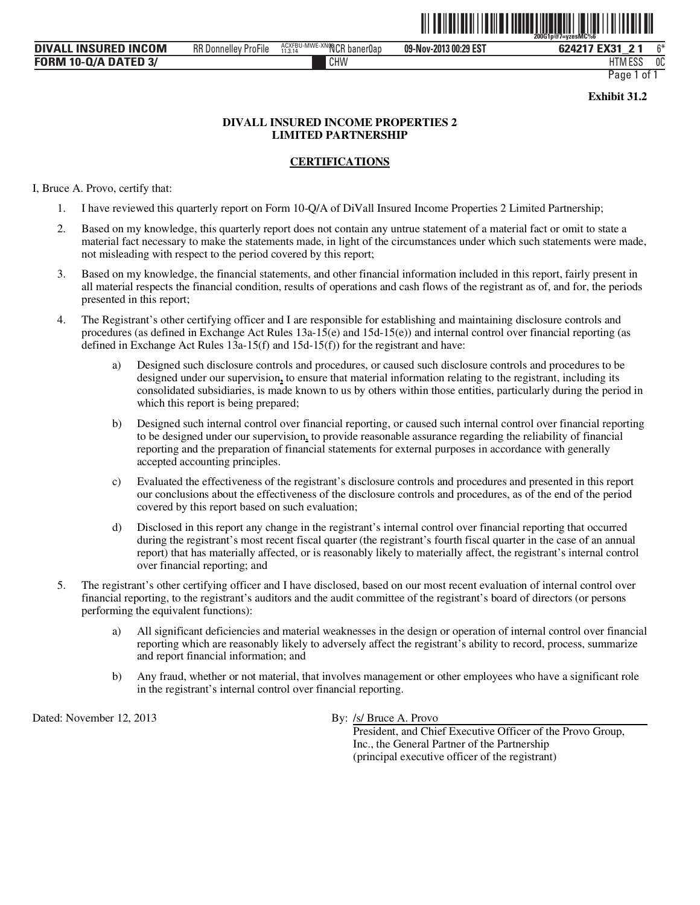

**DIVALL INSURED INCOM** BR Donnelley Profile ACXHBU-MWE-XNYNCR baner0ap 09-Nov-2013 00:29 EST 624217 EX31 **FORM 10-Q/A DATED 3/ 09-Nov-2013 00:29 EST** CHW FILM THE CHANNEL CHANNEL CHANNEL CHANNEL CHANNEL CHANNEL CHANNEL CHANNEL CHANNEL CHANNEL CHANNEL CHANNEL CHANNEL CHANNEL CHANNEL CHANNEL CHANNEL CHANNEL CHANNEL CHANNEL CHANNEL CHANNEL CHANNEL CHANNEL CHANNEL CHANNEL C RR Donnelley ProFile HTM ESS 0C ACXFBU-MWE-XN08 11.3.14

Page 1 of

**Exhibit 31.2** 

### **DIVALL INSURED INCOME PROPERTIES 2 LIMITED PARTNERSHIP**

### **CERTIFICATIONS**

I, Bruce A. Provo, certify that:

- 1. I have reviewed this quarterly report on Form 10-Q/A of DiVall Insured Income Properties 2 Limited Partnership;
- 2. Based on my knowledge, this quarterly report does not contain any untrue statement of a material fact or omit to state a material fact necessary to make the statements made, in light of the circumstances under which such statements were made, not misleading with respect to the period covered by this report;
- 3. Based on my knowledge, the financial statements, and other financial information included in this report, fairly present in all material respects the financial condition, results of operations and cash flows of the registrant as of, and for, the periods presented in this report;
- 4. The Registrant's other certifying officer and I are responsible for establishing and maintaining disclosure controls and procedures (as defined in Exchange Act Rules 13a-15(e) and 15d-15(e)) and internal control over financial reporting (as defined in Exchange Act Rules 13a-15(f) and 15d-15(f)) for the registrant and have:
	- a) Designed such disclosure controls and procedures, or caused such disclosure controls and procedures to be designed under our supervision**,** to ensure that material information relating to the registrant, including its consolidated subsidiaries, is made known to us by others within those entities, particularly during the period in which this report is being prepared;
	- b) Designed such internal control over financial reporting, or caused such internal control over financial reporting to be designed under our supervision, to provide reasonable assurance regarding the reliability of financial reporting and the preparation of financial statements for external purposes in accordance with generally accepted accounting principles.
	- c) Evaluated the effectiveness of the registrant's disclosure controls and procedures and presented in this report our conclusions about the effectiveness of the disclosure controls and procedures, as of the end of the period covered by this report based on such evaluation;
	- d) Disclosed in this report any change in the registrant's internal control over financial reporting that occurred during the registrant's most recent fiscal quarter (the registrant's fourth fiscal quarter in the case of an annual report) that has materially affected, or is reasonably likely to materially affect, the registrant's internal control over financial reporting; and
- 5. The registrant's other certifying officer and I have disclosed, based on our most recent evaluation of internal control over financial reporting, to the registrant's auditors and the audit committee of the registrant's board of directors (or persons performing the equivalent functions):
	- a) All significant deficiencies and material weaknesses in the design or operation of internal control over financial reporting which are reasonably likely to adversely affect the registrant's ability to record, process, summarize and report financial information; and
	- b) Any fraud, whether or not material, that involves management or other employees who have a significant role in the registrant's internal control over financial reporting.

Dated: November 12, 2013 By: /s/ Bruce A. Provo

President, and Chief Executive Officer of the Provo Group, Inc., the General Partner of the Partnership (principal executive officer of the registrant)